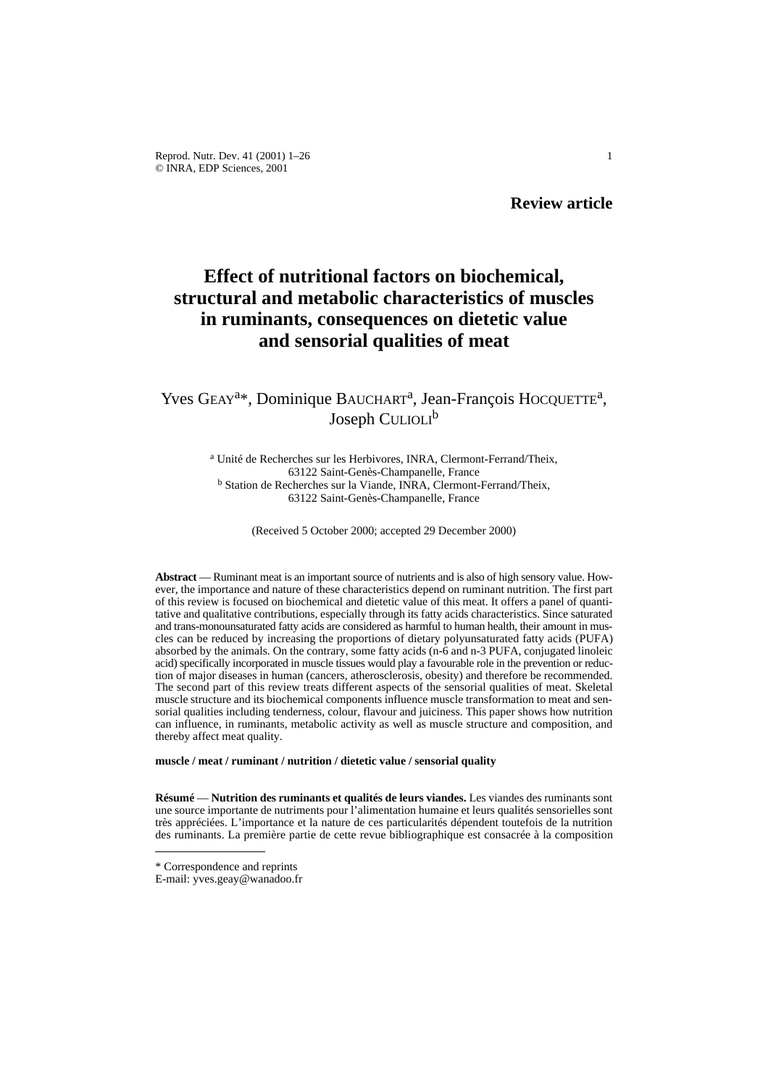Reprod. Nutr. Dev. 41 (2001) 1–26 1 © INRA, EDP Sciences, 2001

**Review article**

# **Effect of nutritional factors on biochemical, structural and metabolic characteristics of muscles in ruminants, consequences on dietetic value and sensorial qualities of meat**

## Yves GEAY<sup>a\*</sup>, Dominique BAUCHART<sup>a</sup>, Jean-François HOCQUETTE<sup>a</sup>, Joseph CULIOLI<sup>b</sup>

<sup>a</sup> Unité de Recherches sur les Herbivores, INRA, Clermont-Ferrand/Theix, 63122 Saint-Genès-Champanelle, France <sup>b</sup> Station de Recherches sur la Viande, INRA, Clermont-Ferrand/Theix, 63122 Saint-Genès-Champanelle, France

(Received 5 October 2000; accepted 29 December 2000)

**Abstract** — Ruminant meat is an important source of nutrients and is also of high sensory value. However, the importance and nature of these characteristics depend on ruminant nutrition. The first part of this review is focused on biochemical and dietetic value of this meat. It offers a panel of quantitative and qualitative contributions, especially through its fatty acids characteristics. Since saturated and trans-monounsaturated fatty acids are considered as harmful to human health, their amount in muscles can be reduced by increasing the proportions of dietary polyunsaturated fatty acids (PUFA) absorbed by the animals. On the contrary, some fatty acids (n-6 and n-3 PUFA, conjugated linoleic acid) specifically incorporated in muscle tissues would play a favourable role in the prevention or reduction of major diseases in human (cancers, atherosclerosis, obesity) and therefore be recommended. The second part of this review treats different aspects of the sensorial qualities of meat. Skeletal muscle structure and its biochemical components influence muscle transformation to meat and sensorial qualities including tenderness, colour, flavour and juiciness. This paper shows how nutrition can influence, in ruminants, metabolic activity as well as muscle structure and composition, and thereby affect meat quality.

**muscle / meat / ruminant / nutrition / dietetic value / sensorial quality**

**Résumé** — **Nutrition des ruminants et qualités de leurs viandes.** Les viandes des ruminants sont une source importante de nutriments pour l'alimentation humaine et leurs qualités sensorielles sont très appréciées. L'importance et la nature de ces particularités dépendent toutefois de la nutrition des ruminants. La première partie de cette revue bibliographique est consacrée à la composition

<sup>\*</sup> Correspondence and reprints

E-mail: yves.geay@wanadoo.fr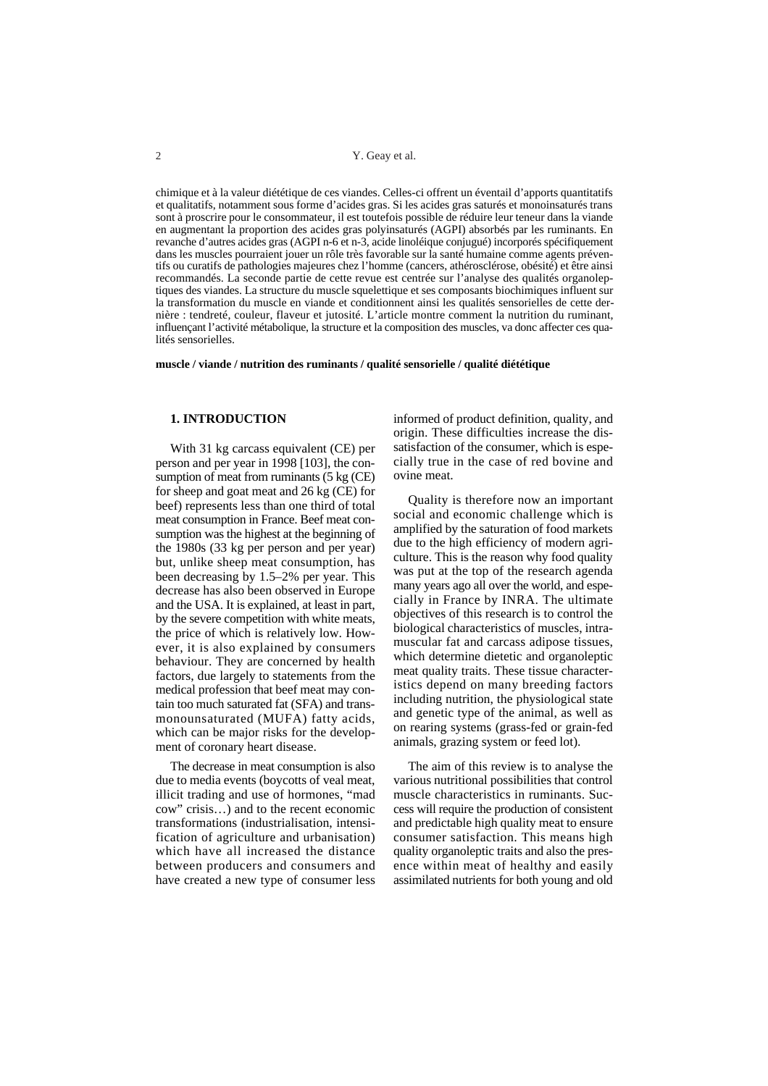chimique et à la valeur diététique de ces viandes. Celles-ci offrent un éventail d'apports quantitatifs et qualitatifs, notamment sous forme d'acides gras. Si les acides gras saturés et monoinsaturés trans sont à proscrire pour le consommateur, il est toutefois possible de réduire leur teneur dans la viande en augmentant la proportion des acides gras polyinsaturés (AGPI) absorbés par les ruminants. En revanche d'autres acides gras (AGPI n-6 et n-3, acide linoléique conjugué) incorporés spécifiquement dans les muscles pourraient jouer un rôle très favorable sur la santé humaine comme agents préventifs ou curatifs de pathologies majeures chez l'homme (cancers, athérosclérose, obésité) et être ainsi recommandés. La seconde partie de cette revue est centrée sur l'analyse des qualités organoleptiques des viandes. La structure du muscle squelettique et ses composants biochimiques influent sur la transformation du muscle en viande et conditionnent ainsi les qualités sensorielles de cette dernière : tendreté, couleur, flaveur et jutosité. L'article montre comment la nutrition du ruminant, influençant l'activité métabolique, la structure et la composition des muscles, va donc affecter ces qualités sensorielles.

**muscle / viande / nutrition des ruminants / qualité sensorielle / qualité diététique**

#### **1. INTRODUCTION**

With 31 kg carcass equivalent (CE) per person and per year in 1998 [103], the consumption of meat from ruminants (5 kg (CE) for sheep and goat meat and 26 kg (CE) for beef) represents less than one third of total meat consumption in France. Beef meat consumption was the highest at the beginning of the 1980s (33 kg per person and per year) but, unlike sheep meat consumption, has been decreasing by 1.5–2% per year. This decrease has also been observed in Europe and the USA. It is explained, at least in part, by the severe competition with white meats, the price of which is relatively low. However, it is also explained by consumers behaviour. They are concerned by health factors, due largely to statements from the medical profession that beef meat may contain too much saturated fat (SFA) and transmonounsaturated (MUFA) fatty acids, which can be major risks for the development of coronary heart disease.

The decrease in meat consumption is also due to media events (boycotts of veal meat, illicit trading and use of hormones, "mad cow" crisis…) and to the recent economic transformations (industrialisation, intensification of agriculture and urbanisation) which have all increased the distance between producers and consumers and have created a new type of consumer less

informed of product definition, quality, and origin. These difficulties increase the dissatisfaction of the consumer, which is especially true in the case of red bovine and ovine meat.

Quality is therefore now an important social and economic challenge which is amplified by the saturation of food markets due to the high efficiency of modern agriculture. This is the reason why food quality was put at the top of the research agenda many years ago all over the world, and especially in France by INRA. The ultimate objectives of this research is to control the biological characteristics of muscles, intramuscular fat and carcass adipose tissues, which determine dietetic and organoleptic meat quality traits. These tissue characteristics depend on many breeding factors including nutrition, the physiological state and genetic type of the animal, as well as on rearing systems (grass-fed or grain-fed animals, grazing system or feed lot).

The aim of this review is to analyse the various nutritional possibilities that control muscle characteristics in ruminants. Success will require the production of consistent and predictable high quality meat to ensure consumer satisfaction. This means high quality organoleptic traits and also the presence within meat of healthy and easily assimilated nutrients for both young and old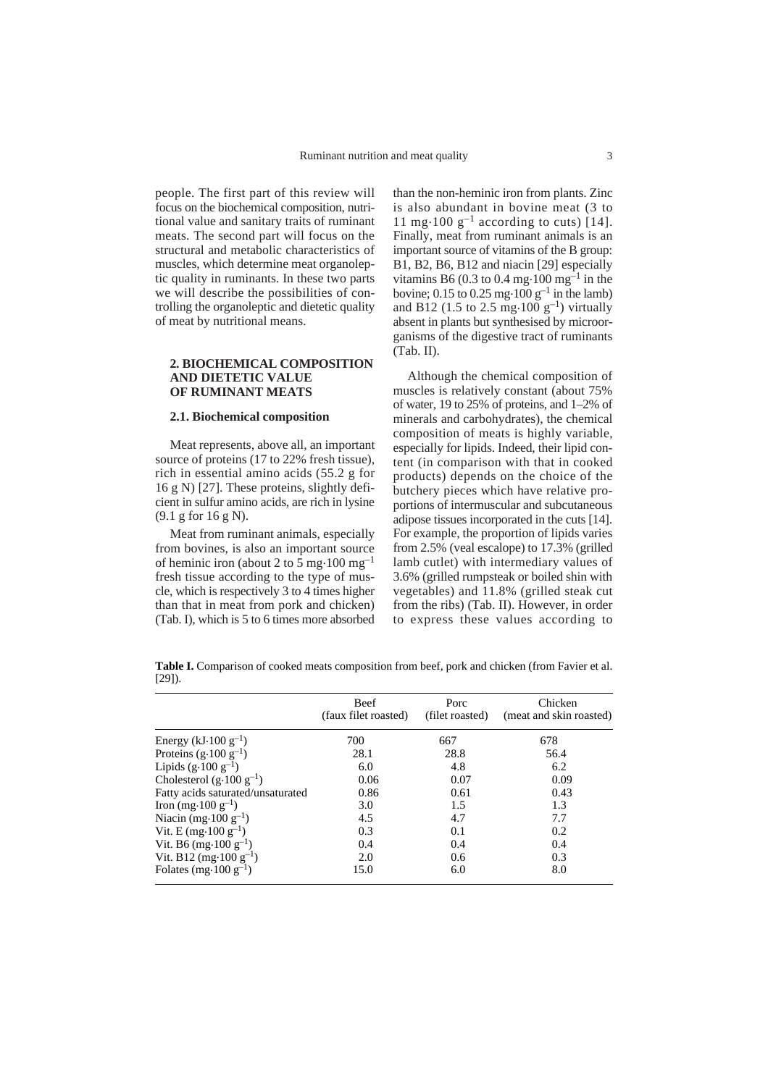people. The first part of this review will focus on the biochemical composition, nutritional value and sanitary traits of ruminant meats. The second part will focus on the structural and metabolic characteristics of muscles, which determine meat organoleptic quality in ruminants. In these two parts we will describe the possibilities of controlling the organoleptic and dietetic quality of meat by nutritional means.

## **2. BIOCHEMICAL COMPOSITION AND DIETETIC VALUE OF RUMINANT MEATS**

#### **2.1. Biochemical composition**

Meat represents, above all, an important source of proteins (17 to 22% fresh tissue), rich in essential amino acids (55.2 g for 16 g N) [27]. These proteins, slightly deficient in sulfur amino acids, are rich in lysine (9.1 g for 16 g N).

Meat from ruminant animals, especially from bovines, is also an important source of heminic iron (about 2 to 5 mg $\cdot$ 100 mg<sup>-1</sup> fresh tissue according to the type of muscle, which is respectively 3 to 4 times higher than that in meat from pork and chicken) (Tab. I), which is 5 to 6 times more absorbed

than the non-heminic iron from plants. Zinc is also abundant in bovine meat (3 to 11 mg $\cdot$ 100 g<sup>-1</sup> according to cuts) [14]. Finally, meat from ruminant animals is an important source of vitamins of the B group: B1, B2, B6, B12 and niacin [29] especially vitamins B6 (0.3 to 0.4 mg $\cdot$ 100 mg<sup>-1</sup> in the bovine; 0.15 to 0.25 mg $\cdot$ 100 g<sup>-1</sup> in the lamb) and B12 (1.5 to 2.5 mg $\cdot$ 100 g<sup>-1</sup>) virtually absent in plants but synthesised by microorganisms of the digestive tract of ruminants (Tab. II).

Although the chemical composition of muscles is relatively constant (about 75% of water, 19 to 25% of proteins, and 1–2% of minerals and carbohydrates), the chemical composition of meats is highly variable, especially for lipids. Indeed, their lipid content (in comparison with that in cooked products) depends on the choice of the butchery pieces which have relative proportions of intermuscular and subcutaneous adipose tissues incorporated in the cuts [14]. For example, the proportion of lipids varies from 2.5% (veal escalope) to 17.3% (grilled lamb cutlet) with intermediary values of 3.6% (grilled rumpsteak or boiled shin with vegetables) and 11.8% (grilled steak cut from the ribs) (Tab. II). However, in order to express these values according to

**Table I.** Comparison of cooked meats composition from beef, pork and chicken (from Favier et al. [29]).

|                                           | <b>Beef</b><br>(faux filet roasted) | Porc<br>(filet roasted) | Chicken<br>(meat and skin roasted) |
|-------------------------------------------|-------------------------------------|-------------------------|------------------------------------|
| Energy (kJ $\cdot$ 100 g <sup>-1</sup> )  | 700                                 | 667                     | 678                                |
| Proteins $(g \cdot 100 \text{ g}^{-1})$   | 28.1                                | 28.8                    | 56.4                               |
| Lipids $(g.100 g^{-1})$                   | 6.0                                 | 4.8                     | 6.2                                |
| Cholesterol $(g.100 g^{-1})$              | 0.06                                | 0.07                    | 0.09                               |
| Fatty acids saturated/unsaturated         | 0.86                                | 0.61                    | 0.43                               |
| Iron (mg·100 g <sup>-1</sup> )            | 3.0                                 | 1.5                     | 1.3                                |
| Niacin (mg·100 $g^{-1}$ )                 | 4.5                                 | 4.7                     | 7.7                                |
| Vit. E (mg·100 $g^{-1}$ )                 | 0.3                                 | 0.1                     | 0.2                                |
| Vit. B6 (mg·100 $g^{-1}$ )                | 0.4                                 | 0.4                     | 0.4                                |
| Vit. B12 (mg·100 $g^{-1}$ )               | 2.0                                 | 0.6                     | 0.3                                |
| Folates (mg $\cdot$ 100 g <sup>-1</sup> ) | 15.0                                | 6.0                     | 8.0                                |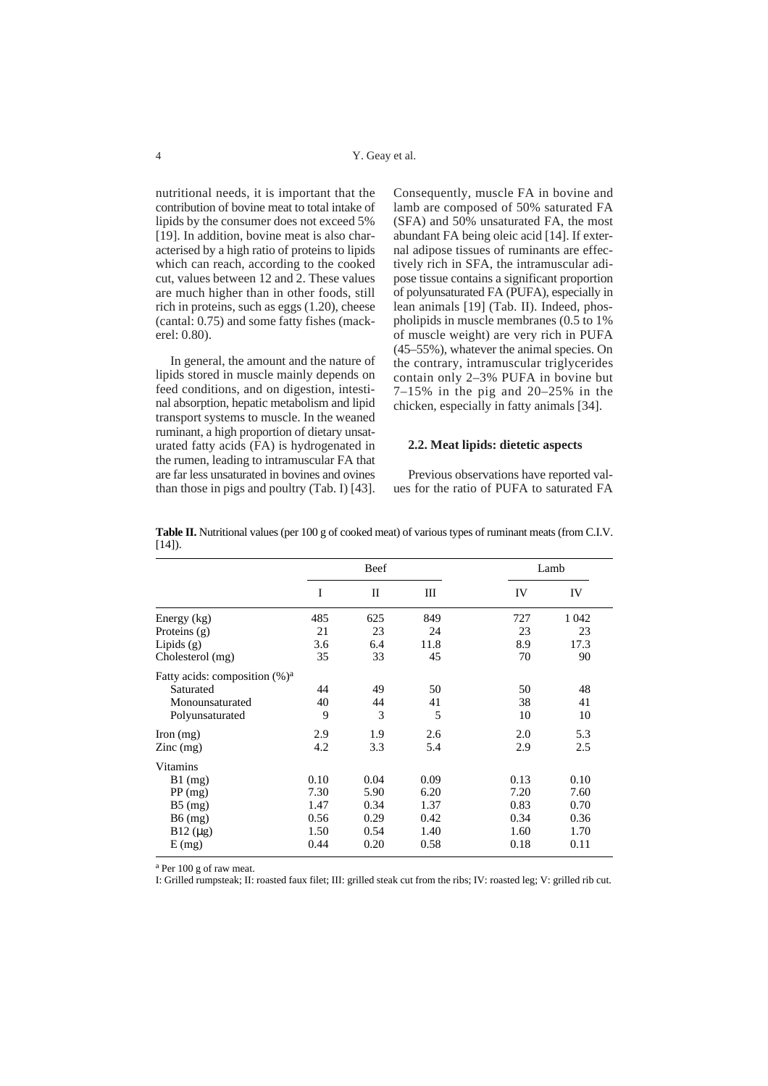nutritional needs, it is important that the contribution of bovine meat to total intake of lipids by the consumer does not exceed 5% [19]. In addition, bovine meat is also characterised by a high ratio of proteins to lipids which can reach, according to the cooked cut, values between 12 and 2. These values are much higher than in other foods, still rich in proteins, such as eggs (1.20), cheese (cantal: 0.75) and some fatty fishes (mackerel: 0.80).

In general, the amount and the nature of lipids stored in muscle mainly depends on feed conditions, and on digestion, intestinal absorption, hepatic metabolism and lipid transport systems to muscle. In the weaned ruminant, a high proportion of dietary unsaturated fatty acids (FA) is hydrogenated in the rumen, leading to intramuscular FA that are far less unsaturated in bovines and ovines than those in pigs and poultry (Tab. I) [43].

Consequently, muscle FA in bovine and lamb are composed of 50% saturated FA (SFA) and 50% unsaturated FA, the most abundant FA being oleic acid [14]. If external adipose tissues of ruminants are effectively rich in SFA, the intramuscular adipose tissue contains a significant proportion of polyunsaturated FA (PUFA), especially in lean animals [19] (Tab. II). Indeed, phospholipids in muscle membranes (0.5 to 1% of muscle weight) are very rich in PUFA (45–55%), whatever the animal species. On the contrary, intramuscular triglycerides contain only 2–3% PUFA in bovine but 7–15% in the pig and 20–25% in the chicken, especially in fatty animals [34].

#### **2.2. Meat lipids: dietetic aspects**

Previous observations have reported values for the ratio of PUFA to saturated FA

|                                   |     | Beef |      |     | Lamb    |  |
|-----------------------------------|-----|------|------|-----|---------|--|
|                                   |     | H    | Ш    | IV  | IV      |  |
| Energy (kg)                       | 485 | 625  | 849  | 727 | 1 0 4 2 |  |
| Proteins (g)                      | 21  | 23   | 24   | 23  | 23      |  |
| Lipids $(g)$                      | 3.6 | 6.4  | 11.8 | 8.9 | 17.3    |  |
| Cholesterol (mg)                  | 35  | 33   | 45   | 70  | 90      |  |
| Fatty acids: composition $(\%)^a$ |     |      |      |     |         |  |
| Saturated                         | 44  | 49   | 50   | 50  | 48      |  |
| Monounsaturated                   | 40  | 44   | 41   | 38  | 41      |  |
| Polyunsaturated                   | 9   | 3    | 5    | 10  | 10      |  |
| $\Gamma$ Iron $(mg)$              | 2.9 | 1.9  | 2.6  | 2.0 | 5.3     |  |

Zinc (mg)  $4.2$   $3.3$   $5.4$   $2.9$   $2.5$ 

B1 (mg) 0.10 0.04 0.09 0.13 0.10 PP (mg) 7.30 5.90 6.20 7.20 7.60 B5 (mg) 1.47 0.34 1.37 0.83 0.70 B6 (mg) 0.56 0.29 0.42 0.34 0.36 B12 (µg) 1.50 0.54 1.40 1.60 1.70 E (mg) 0.44 0.20 0.58 0.18 0.11

**Table II.** Nutritional values (per 100 g of cooked meat) of various types of ruminant meats (from C.I.V.  $[14]$ ).

<sup>a</sup> Per 100 g of raw meat.

Vitamins

I: Grilled rumpsteak; II: roasted faux filet; III: grilled steak cut from the ribs; IV: roasted leg; V: grilled rib cut.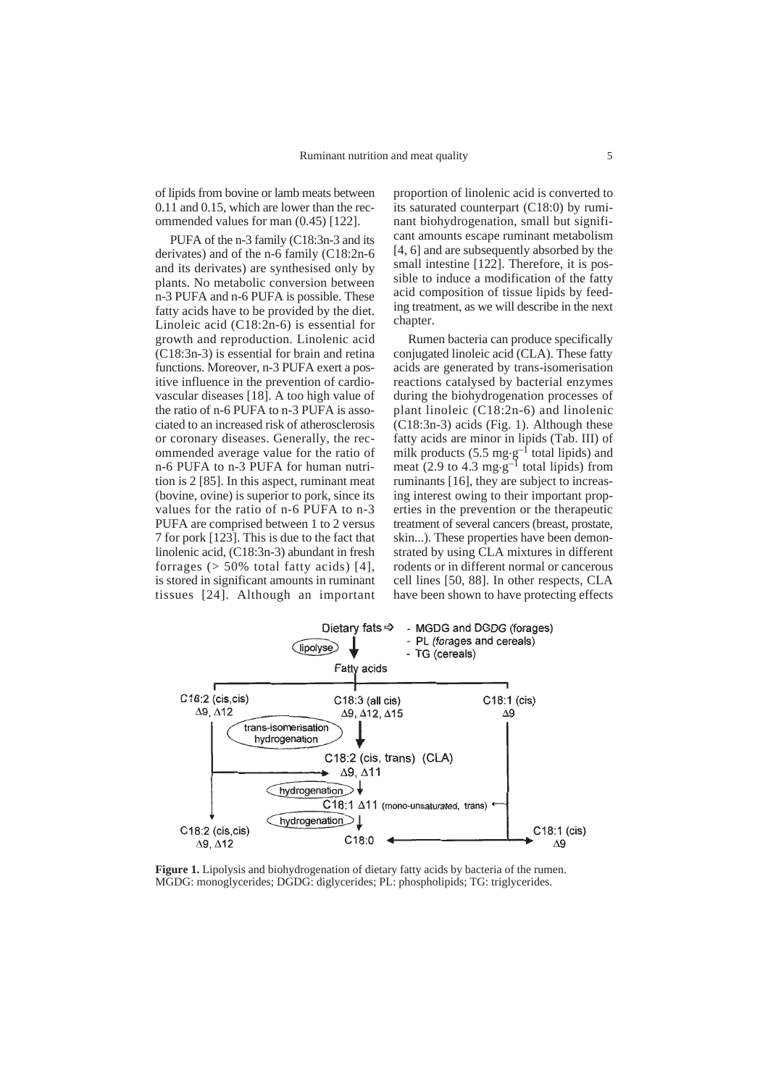of lipids from bovine or lamb meats between 0.11 and 0.15, which are lower than the recommended values for man (0.45) [122].

PUFA of the n-3 family (C18:3n-3 and its derivates) and of the n-6 family (C18:2n-6 and its derivates) are synthesised only by plants. No metabolic conversion between n-3 PUFA and n-6 PUFA is possible. These fatty acids have to be provided by the diet. Linoleic acid (C18:2n-6) is essential for growth and reproduction. Linolenic acid (C18:3n-3) is essential for brain and retina functions. Moreover, n-3 PUFA exert a positive influence in the prevention of cardiovascular diseases [18]. A too high value of the ratio of n-6 PUFA to n-3 PUFA is associated to an increased risk of atherosclerosis or coronary diseases. Generally, the recommended average value for the ratio of n-6 PUFA to n-3 PUFA for human nutrition is 2 [85]. In this aspect, ruminant meat (bovine, ovine) is superior to pork, since its values for the ratio of n-6 PUFA to n-3 PUFA are comprised between 1 to 2 versus 7 for pork [123]. This is due to the fact that linolenic acid, (C18:3n-3) abundant in fresh forrages  $($  > 50% total fatty acids) [4], is stored in significant amounts in ruminant tissues [24]. Although an important

proportion of linolenic acid is converted to its saturated counterpart (C18:0) by ruminant biohydrogenation, small but significant amounts escape ruminant metabolism [4, 6] and are subsequently absorbed by the small intestine [122]. Therefore, it is possible to induce a modification of the fatty acid composition of tissue lipids by feeding treatment, as we will describe in the next chapter.

Rumen bacteria can produce specifically conjugated linoleic acid (CLA). These fatty acids are generated by trans-isomerisation reactions catalysed by bacterial enzymes during the biohydrogenation processes of plant linoleic (C18:2n-6) and linolenic (C18:3n-3) acids (Fig. 1). Although these fatty acids are minor in lipids (Tab. III) of milk products (5.5 mg $\cdot$ g<sup>-1</sup> total lipids) and meat (2.9 to 4.3 mg·g<sup>-1</sup> total lipids) from ruminants [16], they are subject to increasing interest owing to their important properties in the prevention or the therapeutic treatment of several cancers (breast, prostate, skin...). These properties have been demonstrated by using CLA mixtures in different rodents or in different normal or cancerous cell lines [50, 88]. In other respects, CLA have been shown to have protecting effects



**Figure 1.** Lipolysis and biohydrogenation of dietary fatty acids by bacteria of the rumen. MGDG: monoglycerides; DGDG: diglycerides; PL: phospholipids; TG: triglycerides.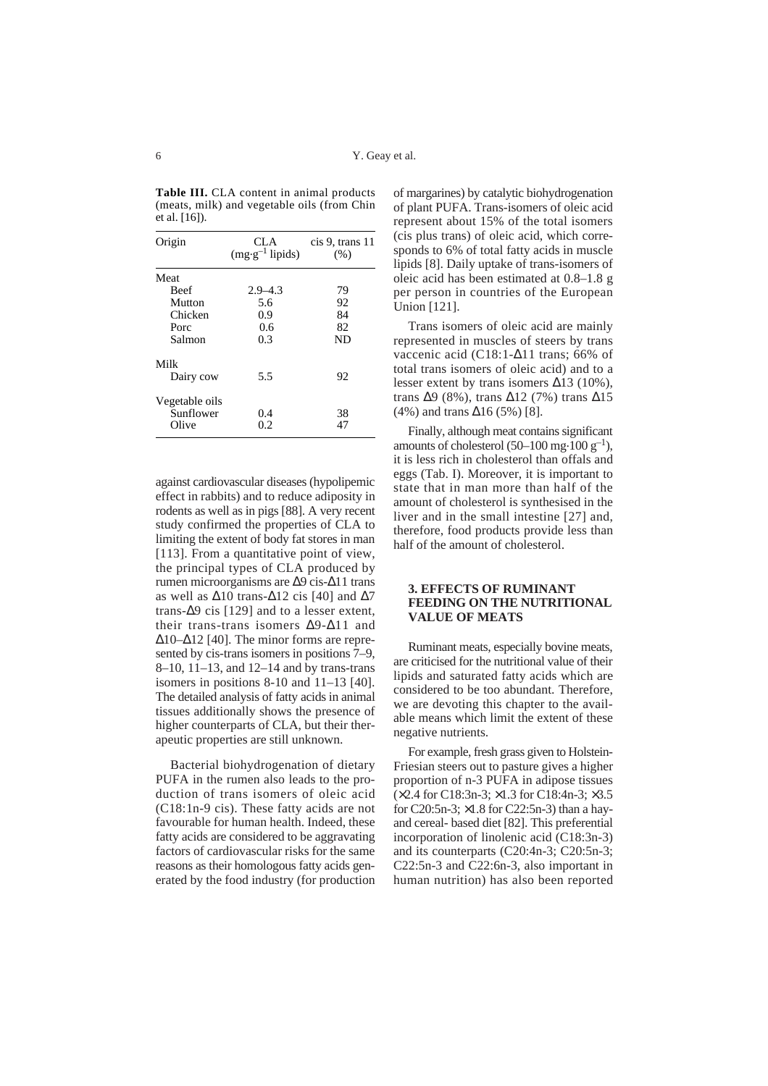**Table III.** CLA content in animal products (meats, milk) and vegetable oils (from Chin et al. [16]).

| Origin         | CLA.<br>$(mg·g-1$ lipids) | cis 9, trans 11<br>(% ) |  |
|----------------|---------------------------|-------------------------|--|
| Meat           |                           |                         |  |
| <b>Beef</b>    | $2.9 - 4.3$               | 79                      |  |
| Mutton         | 5.6                       | 92                      |  |
| Chicken        | 0.9                       | 84                      |  |
| Porc           | 0.6                       | 82                      |  |
| Salmon         | 0.3                       | ND                      |  |
| Milk           |                           |                         |  |
| Dairy cow      | 5.5                       | 92                      |  |
| Vegetable oils |                           |                         |  |
| Sunflower      | 0.4                       | 38                      |  |
| Olive          | 0.2                       | 47                      |  |

against cardiovascular diseases (hypolipemic effect in rabbits) and to reduce adiposity in rodents as well as in pigs [88]. A very recent study confirmed the properties of CLA to limiting the extent of body fat stores in man [113]. From a quantitative point of view, the principal types of CLA produced by rumen microorganisms are ∆9 cis-∆11 trans as well as  $\Delta$ 10 trans- $\Delta$ 12 cis [40] and  $\Delta$ 7 trans-∆9 cis [129] and to a lesser extent, their trans-trans isomers ∆9-∆11 and ∆10–∆12 [40]. The minor forms are represented by cis-trans isomers in positions 7–9, 8–10, 11–13, and 12–14 and by trans-trans isomers in positions 8-10 and 11–13 [40]. The detailed analysis of fatty acids in animal tissues additionally shows the presence of higher counterparts of CLA, but their therapeutic properties are still unknown.

Bacterial biohydrogenation of dietary PUFA in the rumen also leads to the production of trans isomers of oleic acid (C18:1n-9 cis). These fatty acids are not favourable for human health. Indeed, these fatty acids are considered to be aggravating factors of cardiovascular risks for the same reasons as their homologous fatty acids generated by the food industry (for production of margarines) by catalytic biohydrogenation of plant PUFA. Trans-isomers of oleic acid represent about 15% of the total isomers (cis plus trans) of oleic acid, which corresponds to 6% of total fatty acids in muscle lipids [8]. Daily uptake of trans-isomers of oleic acid has been estimated at 0.8–1.8 g per person in countries of the European Union [121].

Trans isomers of oleic acid are mainly represented in muscles of steers by trans vaccenic acid (C18:1-∆11 trans; 66% of total trans isomers of oleic acid) and to a lesser extent by trans isomers ∆13 (10%), trans ∆9 (8%), trans ∆12 (7%) trans ∆15 (4%) and trans ∆16 (5%) [8].

Finally, although meat contains significant amounts of cholesterol (50–100 mg $\cdot$ 100 g<sup>-1</sup>), it is less rich in cholesterol than offals and eggs (Tab. I). Moreover, it is important to state that in man more than half of the amount of cholesterol is synthesised in the liver and in the small intestine [27] and, therefore, food products provide less than half of the amount of cholesterol.

## **3. EFFECTS OF RUMINANT FEEDING ON THE NUTRITIONAL VALUE OF MEATS**

Ruminant meats, especially bovine meats, are criticised for the nutritional value of their lipids and saturated fatty acids which are considered to be too abundant. Therefore, we are devoting this chapter to the available means which limit the extent of these negative nutrients.

For example, fresh grass given to Holstein-Friesian steers out to pasture gives a higher proportion of n-3 PUFA in adipose tissues (×2.4 for C18:3n-3; ×1.3 for C18:4n-3; ×3.5 for C20:5n-3; ×1.8 for C22:5n-3) than a hayand cereal- based diet [82]. This preferential incorporation of linolenic acid (C18:3n-3) and its counterparts (C20:4n-3; C20:5n-3; C22:5n-3 and C22:6n-3, also important in human nutrition) has also been reported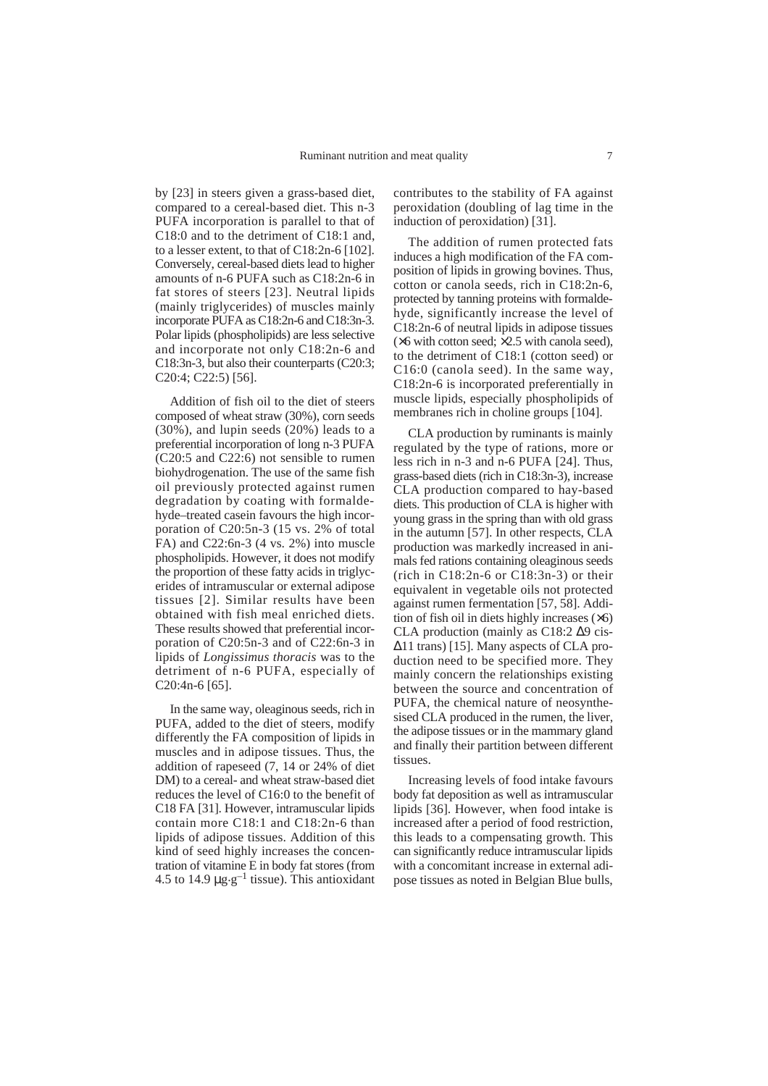by [23] in steers given a grass-based diet, compared to a cereal-based diet. This n-3 PUFA incorporation is parallel to that of C18:0 and to the detriment of C18:1 and, to a lesser extent, to that of C18:2n-6 [102]. Conversely, cereal-based diets lead to higher amounts of n-6 PUFA such as C18:2n-6 in fat stores of steers [23]. Neutral lipids (mainly triglycerides) of muscles mainly incorporate PUFA as C18:2n-6 and C18:3n-3. Polar lipids (phospholipids) are less selective and incorporate not only C18:2n-6 and C18:3n-3, but also their counterparts (C20:3; C20:4; C22:5) [56].

Addition of fish oil to the diet of steers composed of wheat straw (30%), corn seeds (30%), and lupin seeds (20%) leads to a preferential incorporation of long n-3 PUFA (C20:5 and C22:6) not sensible to rumen biohydrogenation. The use of the same fish oil previously protected against rumen degradation by coating with formaldehyde–treated casein favours the high incorporation of C20:5n-3 (15 vs. 2% of total FA) and C22:6n-3 (4 vs. 2%) into muscle phospholipids. However, it does not modify the proportion of these fatty acids in triglycerides of intramuscular or external adipose tissues [2]. Similar results have been obtained with fish meal enriched diets. These results showed that preferential incorporation of C20:5n-3 and of C22:6n-3 in lipids of *Longissimus thoracis* was to the detriment of n-6 PUFA, especially of C20:4n-6 [65].

In the same way, oleaginous seeds, rich in PUFA, added to the diet of steers, modify differently the FA composition of lipids in muscles and in adipose tissues. Thus, the addition of rapeseed (7, 14 or 24% of diet DM) to a cereal- and wheat straw-based diet reduces the level of C16:0 to the benefit of C18 FA [31]. However, intramuscular lipids contain more C18:1 and C18:2n-6 than lipids of adipose tissues. Addition of this kind of seed highly increases the concentration of vitamine E in body fat stores (from 4.5 to 14.9  $\mu$ g.g<sup>-1</sup> tissue). This antioxidant

contributes to the stability of FA against peroxidation (doubling of lag time in the induction of peroxidation) [31].

The addition of rumen protected fats induces a high modification of the FA composition of lipids in growing bovines. Thus, cotton or canola seeds, rich in C18:2n-6, protected by tanning proteins with formaldehyde, significantly increase the level of C18:2n-6 of neutral lipids in adipose tissues  $(\times 6$  with cotton seed;  $\times 2.5$  with canola seed), to the detriment of C18:1 (cotton seed) or C16:0 (canola seed). In the same way, C18:2n-6 is incorporated preferentially in muscle lipids, especially phospholipids of membranes rich in choline groups [104].

CLA production by ruminants is mainly regulated by the type of rations, more or less rich in n-3 and n-6 PUFA [24]. Thus, grass-based diets (rich in C18:3n-3), increase CLA production compared to hay-based diets. This production of CLA is higher with young grass in the spring than with old grass in the autumn [57]. In other respects, CLA production was markedly increased in animals fed rations containing oleaginous seeds (rich in  $C18:2n-6$  or  $C18:3n-3$ ) or their equivalent in vegetable oils not protected against rumen fermentation [57, 58]. Addition of fish oil in diets highly increases (×6) CLA production (mainly as C18:2 ∆9 cis- ∆11 trans) [15]. Many aspects of CLA production need to be specified more. They mainly concern the relationships existing between the source and concentration of PUFA, the chemical nature of neosynthesised CLA produced in the rumen, the liver, the adipose tissues or in the mammary gland and finally their partition between different tissues.

Increasing levels of food intake favours body fat deposition as well as intramuscular lipids [36]. However, when food intake is increased after a period of food restriction, this leads to a compensating growth. This can significantly reduce intramuscular lipids with a concomitant increase in external adipose tissues as noted in Belgian Blue bulls,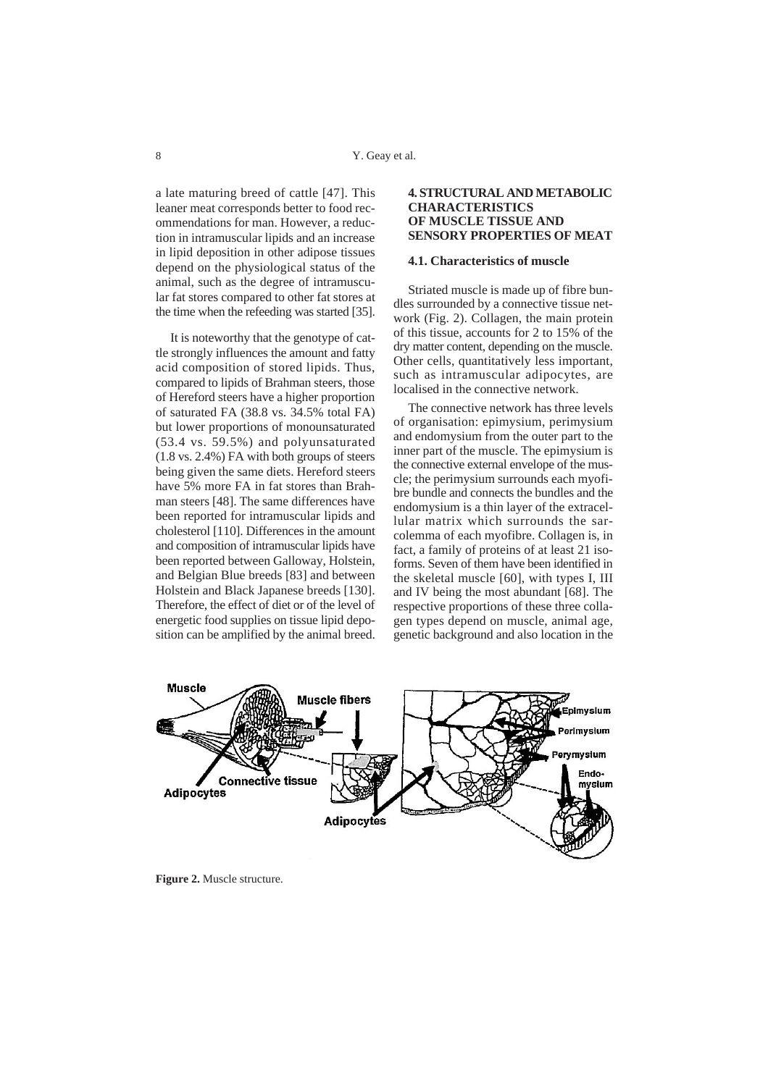a late maturing breed of cattle [47]. This leaner meat corresponds better to food recommendations for man. However, a reduction in intramuscular lipids and an increase in lipid deposition in other adipose tissues depend on the physiological status of the animal, such as the degree of intramuscular fat stores compared to other fat stores at the time when the refeeding was started [35].

It is noteworthy that the genotype of cattle strongly influences the amount and fatty acid composition of stored lipids. Thus, compared to lipids of Brahman steers, those of Hereford steers have a higher proportion of saturated FA (38.8 vs. 34.5% total FA) but lower proportions of monounsaturated (53.4 vs. 59.5%) and polyunsaturated (1.8 vs. 2.4%) FA with both groups of steers being given the same diets. Hereford steers have 5% more FA in fat stores than Brahman steers [48]. The same differences have been reported for intramuscular lipids and cholesterol [110]. Differences in the amount and composition of intramuscular lipids have been reported between Galloway, Holstein, and Belgian Blue breeds [83] and between Holstein and Black Japanese breeds [130]. Therefore, the effect of diet or of the level of energetic food supplies on tissue lipid deposition can be amplified by the animal breed.

## **4. STRUCTURAL AND METABOLIC CHARACTERISTICS OF MUSCLE TISSUE AND SENSORY PROPERTIES OF MEAT**

## **4.1. Characteristics of muscle**

Striated muscle is made up of fibre bundles surrounded by a connective tissue network (Fig. 2). Collagen, the main protein of this tissue, accounts for 2 to 15% of the dry matter content, depending on the muscle. Other cells, quantitatively less important, such as intramuscular adipocytes, are localised in the connective network.

The connective network has three levels of organisation: epimysium, perimysium and endomysium from the outer part to the inner part of the muscle. The epimysium is the connective external envelope of the muscle; the perimysium surrounds each myofibre bundle and connects the bundles and the endomysium is a thin layer of the extracellular matrix which surrounds the sarcolemma of each myofibre. Collagen is, in fact, a family of proteins of at least 21 isoforms. Seven of them have been identified in the skeletal muscle [60], with types I, III and IV being the most abundant [68]. The respective proportions of these three collagen types depend on muscle, animal age, genetic background and also location in the



**Figure 2.** Muscle structure.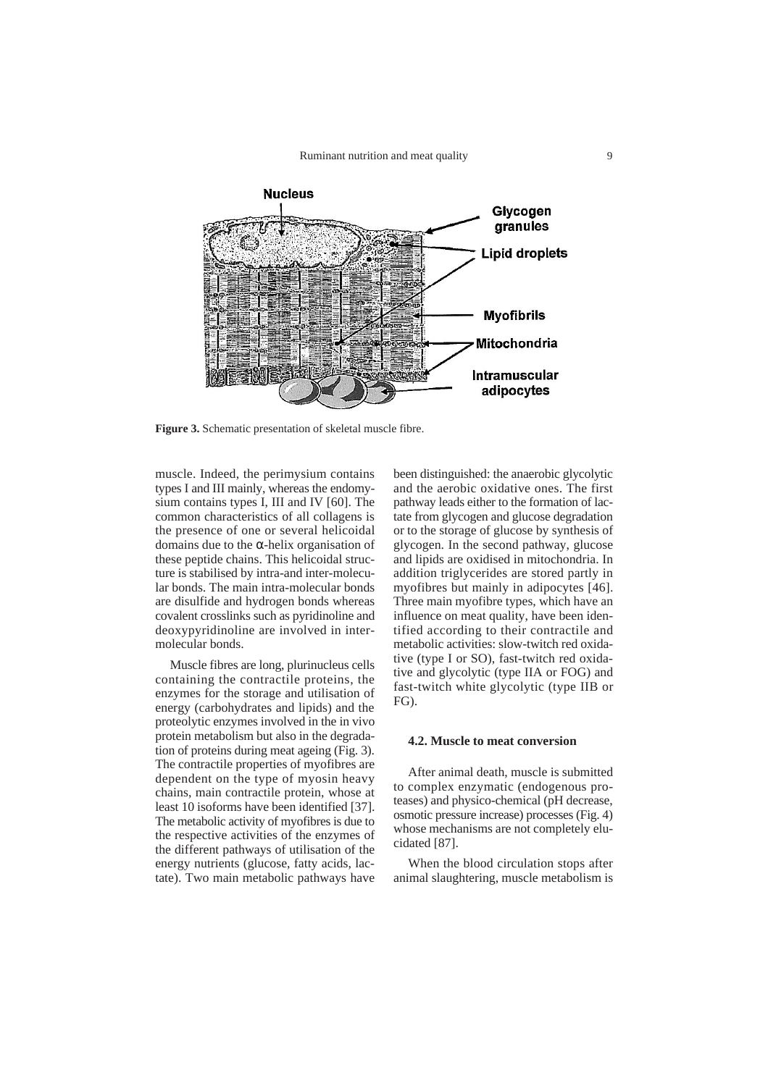Ruminant nutrition and meat quality



**Figure 3.** Schematic presentation of skeletal muscle fibre.

muscle. Indeed, the perimysium contains types I and III mainly, whereas the endomysium contains types I, III and IV [60]. The common characteristics of all collagens is the presence of one or several helicoidal domains due to the  $\alpha$ -helix organisation of these peptide chains. This helicoidal structure is stabilised by intra-and inter-molecular bonds. The main intra-molecular bonds are disulfide and hydrogen bonds whereas covalent crosslinks such as pyridinoline and deoxypyridinoline are involved in intermolecular bonds.

Muscle fibres are long, plurinucleus cells containing the contractile proteins, the enzymes for the storage and utilisation of energy (carbohydrates and lipids) and the proteolytic enzymes involved in the in vivo protein metabolism but also in the degradation of proteins during meat ageing (Fig. 3). The contractile properties of myofibres are dependent on the type of myosin heavy chains, main contractile protein, whose at least 10 isoforms have been identified [37]. The metabolic activity of myofibres is due to the respective activities of the enzymes of the different pathways of utilisation of the energy nutrients (glucose, fatty acids, lactate). Two main metabolic pathways have

been distinguished: the anaerobic glycolytic and the aerobic oxidative ones. The first pathway leads either to the formation of lactate from glycogen and glucose degradation or to the storage of glucose by synthesis of glycogen. In the second pathway, glucose and lipids are oxidised in mitochondria. In addition triglycerides are stored partly in myofibres but mainly in adipocytes [46]. Three main myofibre types, which have an influence on meat quality, have been identified according to their contractile and metabolic activities: slow-twitch red oxidative (type I or SO), fast-twitch red oxidative and glycolytic (type IIA or FOG) and fast-twitch white glycolytic (type IIB or FG).

#### **4.2. Muscle to meat conversion**

After animal death, muscle is submitted to complex enzymatic (endogenous proteases) and physico-chemical (pH decrease, osmotic pressure increase) processes (Fig. 4) whose mechanisms are not completely elucidated [87].

When the blood circulation stops after animal slaughtering, muscle metabolism is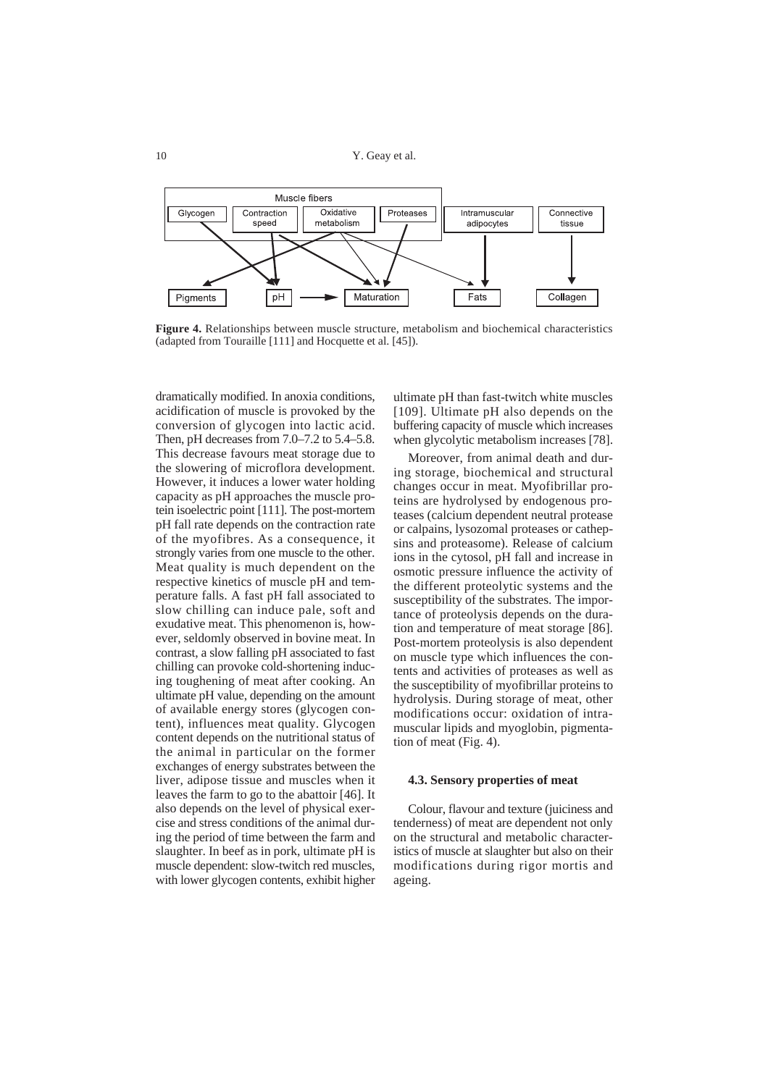

**Figure 4.** Relationships between muscle structure, metabolism and biochemical characteristics (adapted from Touraille [111] and Hocquette et al. [45]).

dramatically modified. In anoxia conditions, acidification of muscle is provoked by the conversion of glycogen into lactic acid. Then, pH decreases from 7.0–7.2 to 5.4–5.8. This decrease favours meat storage due to the slowering of microflora development. However, it induces a lower water holding capacity as pH approaches the muscle protein isoelectric point [111]. The post-mortem pH fall rate depends on the contraction rate of the myofibres. As a consequence, it strongly varies from one muscle to the other. Meat quality is much dependent on the respective kinetics of muscle pH and temperature falls. A fast pH fall associated to slow chilling can induce pale, soft and exudative meat. This phenomenon is, however, seldomly observed in bovine meat. In contrast, a slow falling pH associated to fast chilling can provoke cold-shortening inducing toughening of meat after cooking. An ultimate pH value, depending on the amount of available energy stores (glycogen content), influences meat quality. Glycogen content depends on the nutritional status of the animal in particular on the former exchanges of energy substrates between the liver, adipose tissue and muscles when it leaves the farm to go to the abattoir [46]. It also depends on the level of physical exercise and stress conditions of the animal during the period of time between the farm and slaughter. In beef as in pork, ultimate pH is muscle dependent: slow-twitch red muscles, with lower glycogen contents, exhibit higher

ultimate pH than fast-twitch white muscles [109]. Ultimate pH also depends on the buffering capacity of muscle which increases when glycolytic metabolism increases [78].

Moreover, from animal death and during storage, biochemical and structural changes occur in meat. Myofibrillar proteins are hydrolysed by endogenous proteases (calcium dependent neutral protease or calpains, lysozomal proteases or cathepsins and proteasome). Release of calcium ions in the cytosol, pH fall and increase in osmotic pressure influence the activity of the different proteolytic systems and the susceptibility of the substrates. The importance of proteolysis depends on the duration and temperature of meat storage [86]. Post-mortem proteolysis is also dependent on muscle type which influences the contents and activities of proteases as well as the susceptibility of myofibrillar proteins to hydrolysis. During storage of meat, other modifications occur: oxidation of intramuscular lipids and myoglobin, pigmentation of meat (Fig. 4).

#### **4.3. Sensory properties of meat**

Colour, flavour and texture (juiciness and tenderness) of meat are dependent not only on the structural and metabolic characteristics of muscle at slaughter but also on their modifications during rigor mortis and ageing.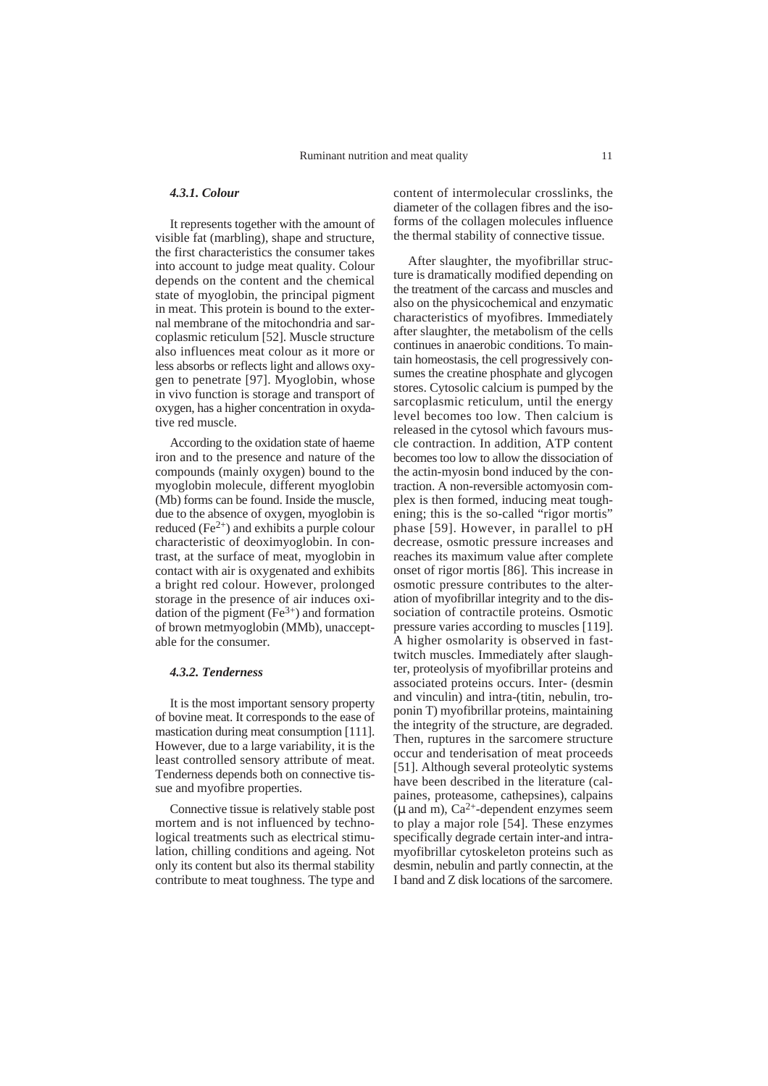## *4.3.1. Colour*

It represents together with the amount of visible fat (marbling), shape and structure, the first characteristics the consumer takes into account to judge meat quality. Colour depends on the content and the chemical state of myoglobin, the principal pigment in meat. This protein is bound to the external membrane of the mitochondria and sarcoplasmic reticulum [52]. Muscle structure also influences meat colour as it more or less absorbs or reflects light and allows oxygen to penetrate [97]. Myoglobin, whose in vivo function is storage and transport of oxygen, has a higher concentration in oxydative red muscle.

According to the oxidation state of haeme iron and to the presence and nature of the compounds (mainly oxygen) bound to the myoglobin molecule, different myoglobin (Mb) forms can be found. Inside the muscle, due to the absence of oxygen, myoglobin is reduced  $(Fe<sup>2+</sup>)$  and exhibits a purple colour characteristic of deoximyoglobin. In contrast, at the surface of meat, myoglobin in contact with air is oxygenated and exhibits a bright red colour. However, prolonged storage in the presence of air induces oxidation of the pigment  $(Fe<sup>3+</sup>)$  and formation of brown metmyoglobin (MMb), unacceptable for the consumer.

#### *4.3.2. Tenderness*

It is the most important sensory property of bovine meat. It corresponds to the ease of mastication during meat consumption [111]. However, due to a large variability, it is the least controlled sensory attribute of meat. Tenderness depends both on connective tissue and myofibre properties.

Connective tissue is relatively stable post mortem and is not influenced by technological treatments such as electrical stimulation, chilling conditions and ageing. Not only its content but also its thermal stability contribute to meat toughness. The type and content of intermolecular crosslinks, the diameter of the collagen fibres and the isoforms of the collagen molecules influence the thermal stability of connective tissue.

After slaughter, the myofibrillar structure is dramatically modified depending on the treatment of the carcass and muscles and also on the physicochemical and enzymatic characteristics of myofibres. Immediately after slaughter, the metabolism of the cells continues in anaerobic conditions. To maintain homeostasis, the cell progressively consumes the creatine phosphate and glycogen stores. Cytosolic calcium is pumped by the sarcoplasmic reticulum, until the energy level becomes too low. Then calcium is released in the cytosol which favours muscle contraction. In addition, ATP content becomes too low to allow the dissociation of the actin-myosin bond induced by the contraction. A non-reversible actomyosin complex is then formed, inducing meat toughening; this is the so-called "rigor mortis" phase [59]. However, in parallel to pH decrease, osmotic pressure increases and reaches its maximum value after complete onset of rigor mortis [86]. This increase in osmotic pressure contributes to the alteration of myofibrillar integrity and to the dissociation of contractile proteins. Osmotic pressure varies according to muscles [119]. A higher osmolarity is observed in fasttwitch muscles. Immediately after slaughter, proteolysis of myofibrillar proteins and associated proteins occurs. Inter- (desmin and vinculin) and intra-(titin, nebulin, troponin T) myofibrillar proteins, maintaining the integrity of the structure, are degraded. Then, ruptures in the sarcomere structure occur and tenderisation of meat proceeds [51]. Although several proteolytic systems have been described in the literature (calpaines, proteasome, cathepsines), calpains  $(\mu$  and m),  $Ca^{2+}$ -dependent enzymes seem to play a major role [54]. These enzymes specifically degrade certain inter-and intramyofibrillar cytoskeleton proteins such as desmin, nebulin and partly connectin, at the I band and Z disk locations of the sarcomere.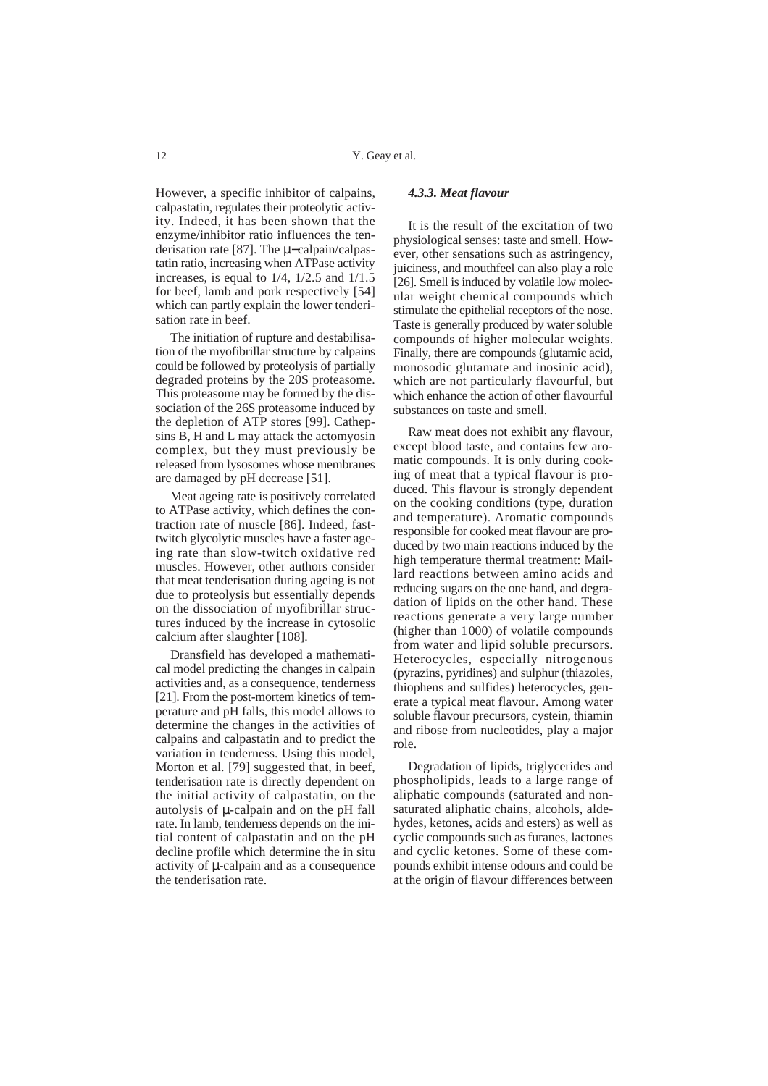However, a specific inhibitor of calpains, calpastatin, regulates their proteolytic activity. Indeed, it has been shown that the enzyme/inhibitor ratio influences the tenderisation rate [87]. The µ−calpain/calpastatin ratio, increasing when ATPase activity increases, is equal to  $1/4$ ,  $1/2.5$  and  $1/1.5$ for beef, lamb and pork respectively [54] which can partly explain the lower tenderisation rate in beef.

The initiation of rupture and destabilisation of the myofibrillar structure by calpains could be followed by proteolysis of partially degraded proteins by the 20S proteasome. This proteasome may be formed by the dissociation of the 26S proteasome induced by the depletion of ATP stores [99]. Cathepsins B, H and L may attack the actomyosin complex, but they must previously be released from lysosomes whose membranes are damaged by pH decrease [51].

Meat ageing rate is positively correlated to ATPase activity, which defines the contraction rate of muscle [86]. Indeed, fasttwitch glycolytic muscles have a faster ageing rate than slow-twitch oxidative red muscles. However, other authors consider that meat tenderisation during ageing is not due to proteolysis but essentially depends on the dissociation of myofibrillar structures induced by the increase in cytosolic calcium after slaughter [108].

Dransfield has developed a mathematical model predicting the changes in calpain activities and, as a consequence, tenderness [21]. From the post-mortem kinetics of temperature and pH falls, this model allows to determine the changes in the activities of calpains and calpastatin and to predict the variation in tenderness. Using this model, Morton et al. [79] suggested that, in beef, tenderisation rate is directly dependent on the initial activity of calpastatin, on the autolysis of  $\mu$ -calpain and on the pH fall rate. In lamb, tenderness depends on the initial content of calpastatin and on the pH decline profile which determine the in situ activity of µ-calpain and as a consequence the tenderisation rate.

#### *4.3.3. Meat flavour*

It is the result of the excitation of two physiological senses: taste and smell. However, other sensations such as astringency, juiciness, and mouthfeel can also play a role [26]. Smell is induced by volatile low molecular weight chemical compounds which stimulate the epithelial receptors of the nose. Taste is generally produced by water soluble compounds of higher molecular weights. Finally, there are compounds (glutamic acid, monosodic glutamate and inosinic acid), which are not particularly flavourful, but which enhance the action of other flavourful substances on taste and smell.

Raw meat does not exhibit any flavour, except blood taste, and contains few aromatic compounds. It is only during cooking of meat that a typical flavour is produced. This flavour is strongly dependent on the cooking conditions (type, duration and temperature). Aromatic compounds responsible for cooked meat flavour are produced by two main reactions induced by the high temperature thermal treatment: Maillard reactions between amino acids and reducing sugars on the one hand, and degradation of lipids on the other hand. These reactions generate a very large number (higher than 1000) of volatile compounds from water and lipid soluble precursors. Heterocycles, especially nitrogenous (pyrazins, pyridines) and sulphur (thiazoles, thiophens and sulfides) heterocycles, generate a typical meat flavour. Among water soluble flavour precursors, cystein, thiamin and ribose from nucleotides, play a major role.

Degradation of lipids, triglycerides and phospholipids, leads to a large range of aliphatic compounds (saturated and nonsaturated aliphatic chains, alcohols, aldehydes, ketones, acids and esters) as well as cyclic compounds such as furanes, lactones and cyclic ketones. Some of these compounds exhibit intense odours and could be at the origin of flavour differences between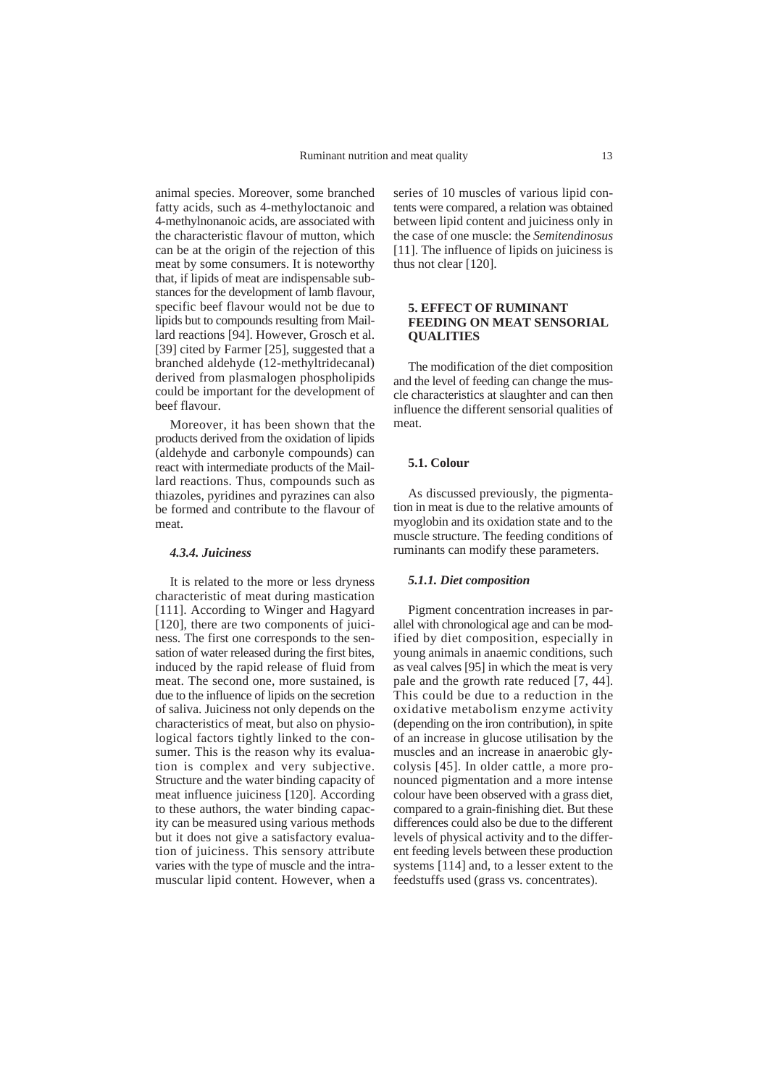animal species. Moreover, some branched fatty acids, such as 4-methyloctanoic and 4-methylnonanoic acids, are associated with the characteristic flavour of mutton, which can be at the origin of the rejection of this meat by some consumers. It is noteworthy that, if lipids of meat are indispensable substances for the development of lamb flavour, specific beef flavour would not be due to lipids but to compounds resulting from Maillard reactions [94]. However, Grosch et al. [39] cited by Farmer [25], suggested that a branched aldehyde (12-methyltridecanal) derived from plasmalogen phospholipids could be important for the development of beef flavour.

Moreover, it has been shown that the products derived from the oxidation of lipids (aldehyde and carbonyle compounds) can react with intermediate products of the Maillard reactions. Thus, compounds such as thiazoles, pyridines and pyrazines can also be formed and contribute to the flavour of meat.

#### *4.3.4. Juiciness*

It is related to the more or less dryness characteristic of meat during mastication [111]. According to Winger and Hagyard [120], there are two components of juiciness. The first one corresponds to the sensation of water released during the first bites, induced by the rapid release of fluid from meat. The second one, more sustained, is due to the influence of lipids on the secretion of saliva. Juiciness not only depends on the characteristics of meat, but also on physiological factors tightly linked to the consumer. This is the reason why its evaluation is complex and very subjective. Structure and the water binding capacity of meat influence juiciness [120]. According to these authors, the water binding capacity can be measured using various methods but it does not give a satisfactory evaluation of juiciness. This sensory attribute varies with the type of muscle and the intramuscular lipid content. However, when a

series of 10 muscles of various lipid contents were compared, a relation was obtained between lipid content and juiciness only in the case of one muscle: the *Semitendinosus* [11]. The influence of lipids on juiciness is thus not clear [120].

## **5. EFFECT OF RUMINANT FEEDING ON MEAT SENSORIAL QUALITIES**

The modification of the diet composition and the level of feeding can change the muscle characteristics at slaughter and can then influence the different sensorial qualities of meat.

#### **5.1. Colour**

As discussed previously, the pigmentation in meat is due to the relative amounts of myoglobin and its oxidation state and to the muscle structure. The feeding conditions of ruminants can modify these parameters.

## *5.1.1. Diet composition*

Pigment concentration increases in parallel with chronological age and can be modified by diet composition, especially in young animals in anaemic conditions, such as veal calves [95] in which the meat is very pale and the growth rate reduced [7, 44]. This could be due to a reduction in the oxidative metabolism enzyme activity (depending on the iron contribution), in spite of an increase in glucose utilisation by the muscles and an increase in anaerobic glycolysis [45]. In older cattle, a more pronounced pigmentation and a more intense colour have been observed with a grass diet, compared to a grain-finishing diet. But these differences could also be due to the different levels of physical activity and to the different feeding levels between these production systems [114] and, to a lesser extent to the feedstuffs used (grass vs. concentrates).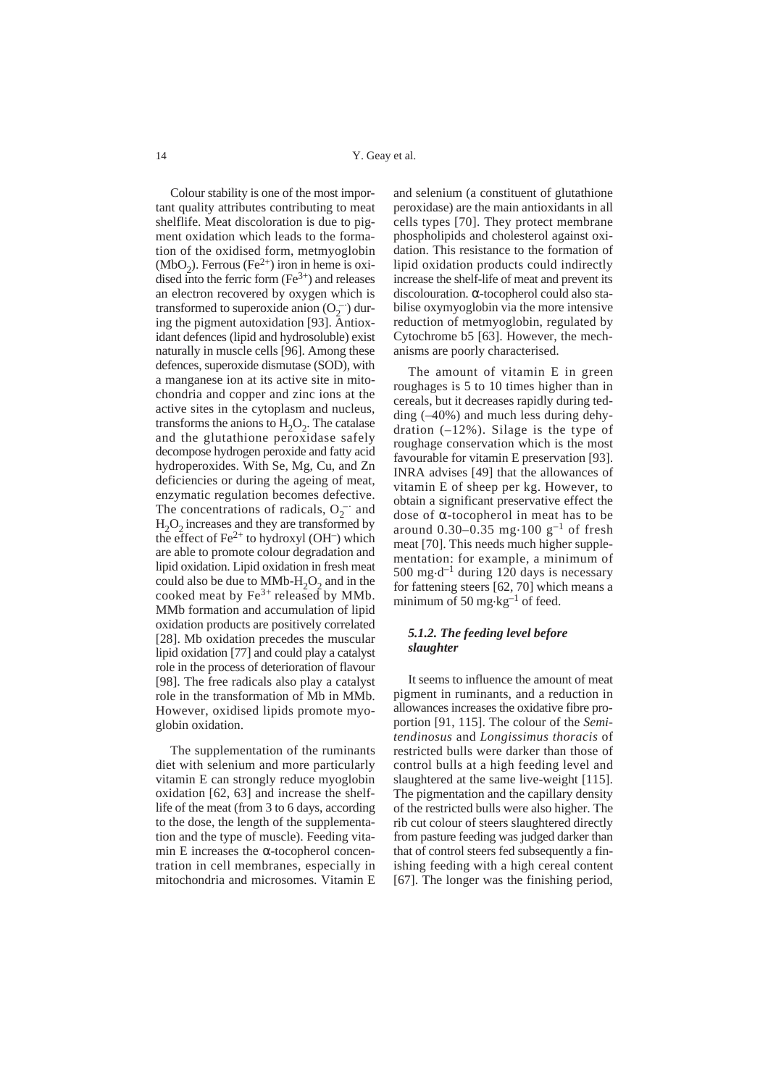Colour stability is one of the most important quality attributes contributing to meat shelflife. Meat discoloration is due to pigment oxidation which leads to the formation of the oxidised form, metmyoglobin  $(MbO<sub>2</sub>)$ . Ferrous (Fe<sup>2+</sup>) iron in heme is oxidised into the ferric form  $(Fe^{3+})$  and releases an electron recovered by oxygen which is transformed to superoxide anion  $(O_2^-)$  during the pigment autoxidation [93]. Antioxidant defences (lipid and hydrosoluble) exist naturally in muscle cells [96]. Among these defences, superoxide dismutase (SOD), with a manganese ion at its active site in mitochondria and copper and zinc ions at the active sites in the cytoplasm and nucleus, transforms the anions to  $H_2O_2$ . The catalase and the glutathione peroxidase safely decompose hydrogen peroxide and fatty acid hydroperoxides. With Se, Mg, Cu, and Zn deficiencies or during the ageing of meat, enzymatic regulation becomes defective. The concentrations of radicals,  $O_2^-$  and  $H<sub>2</sub>O<sub>2</sub>$  increases and they are transformed by the effect of  $Fe^{2+}$  to hydroxyl (OH<sup>-</sup>) which are able to promote colour degradation and lipid oxidation. Lipid oxidation in fresh meat could also be due to  $MMb-H<sub>2</sub>O<sub>2</sub>$  and in the cooked meat by  $Fe^{3+}$  released by MMb. MMb formation and accumulation of lipid oxidation products are positively correlated [28]. Mb oxidation precedes the muscular lipid oxidation [77] and could play a catalyst role in the process of deterioration of flavour [98]. The free radicals also play a catalyst role in the transformation of Mb in MMb. However, oxidised lipids promote myoglobin oxidation.

The supplementation of the ruminants diet with selenium and more particularly vitamin E can strongly reduce myoglobin oxidation [62, 63] and increase the shelflife of the meat (from 3 to 6 days, according to the dose, the length of the supplementation and the type of muscle). Feeding vitamin E increases the  $\alpha$ -tocopherol concentration in cell membranes, especially in mitochondria and microsomes. Vitamin E

and selenium (a constituent of glutathione peroxidase) are the main antioxidants in all cells types [70]. They protect membrane phospholipids and cholesterol against oxidation. This resistance to the formation of lipid oxidation products could indirectly increase the shelf-life of meat and prevent its discolouration. α-tocopherol could also stabilise oxymyoglobin via the more intensive reduction of metmyoglobin, regulated by Cytochrome b5 [63]. However, the mechanisms are poorly characterised.

The amount of vitamin E in green roughages is 5 to 10 times higher than in cereals, but it decreases rapidly during tedding (–40%) and much less during dehydration  $(-12\%)$ . Silage is the type of roughage conservation which is the most favourable for vitamin E preservation [93]. INRA advises [49] that the allowances of vitamin E of sheep per kg. However, to obtain a significant preservative effect the dose of α-tocopherol in meat has to be around  $0.30-0.35$  mg $\cdot 100$  g<sup>-1</sup> of fresh meat [70]. This needs much higher supplementation: for example, a minimum of 500 mg·d<sup>-1</sup> during 120 days is necessary for fattening steers [62, 70] which means a minimum of 50 mg $\text{kg}^{-1}$  of feed.

## *5.1.2. The feeding level before slaughter*

It seems to influence the amount of meat pigment in ruminants, and a reduction in allowances increases the oxidative fibre proportion [91, 115]. The colour of the *Semitendinosus* and *Longissimus thoracis* of restricted bulls were darker than those of control bulls at a high feeding level and slaughtered at the same live-weight [115]. The pigmentation and the capillary density of the restricted bulls were also higher. The rib cut colour of steers slaughtered directly from pasture feeding was judged darker than that of control steers fed subsequently a finishing feeding with a high cereal content [67]. The longer was the finishing period,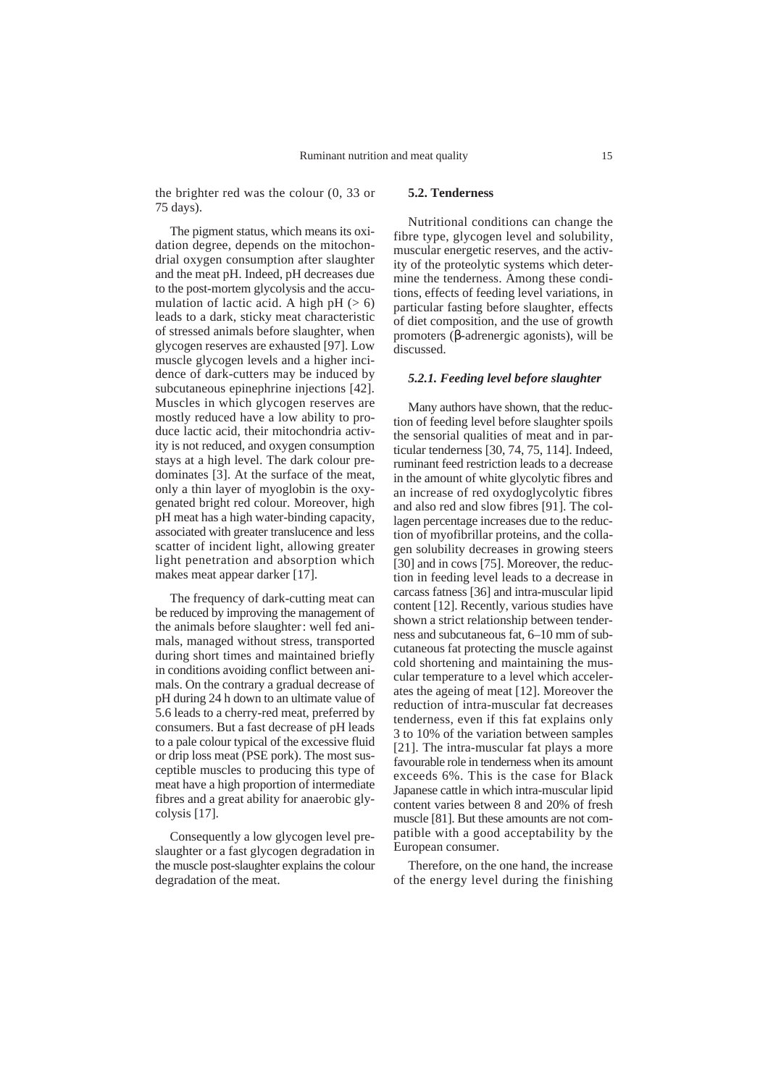the brighter red was the colour (0, 33 or 75 days).

The pigment status, which means its oxidation degree, depends on the mitochondrial oxygen consumption after slaughter and the meat pH. Indeed, pH decreases due to the post-mortem glycolysis and the accumulation of lactic acid. A high  $pH (> 6)$ leads to a dark, sticky meat characteristic of stressed animals before slaughter, when glycogen reserves are exhausted [97]. Low muscle glycogen levels and a higher incidence of dark-cutters may be induced by subcutaneous epinephrine injections [42]. Muscles in which glycogen reserves are mostly reduced have a low ability to produce lactic acid, their mitochondria activity is not reduced, and oxygen consumption stays at a high level. The dark colour predominates [3]. At the surface of the meat, only a thin layer of myoglobin is the oxygenated bright red colour. Moreover, high pH meat has a high water-binding capacity, associated with greater translucence and less scatter of incident light, allowing greater light penetration and absorption which makes meat appear darker [17].

The frequency of dark-cutting meat can be reduced by improving the management of the animals before slaughter: well fed animals, managed without stress, transported during short times and maintained briefly in conditions avoiding conflict between animals. On the contrary a gradual decrease of pH during 24 h down to an ultimate value of 5.6 leads to a cherry-red meat, preferred by consumers. But a fast decrease of pH leads to a pale colour typical of the excessive fluid or drip loss meat (PSE pork). The most susceptible muscles to producing this type of meat have a high proportion of intermediate fibres and a great ability for anaerobic glycolysis [17].

Consequently a low glycogen level preslaughter or a fast glycogen degradation in the muscle post-slaughter explains the colour degradation of the meat.

## **5.2. Tenderness**

Nutritional conditions can change the fibre type, glycogen level and solubility, muscular energetic reserves, and the activity of the proteolytic systems which determine the tenderness. Among these conditions, effects of feeding level variations, in particular fasting before slaughter, effects of diet composition, and the use of growth promoters (β-adrenergic agonists), will be discussed.

#### *5.2.1. Feeding level before slaughter*

Many authors have shown, that the reduction of feeding level before slaughter spoils the sensorial qualities of meat and in particular tenderness [30, 74, 75, 114]. Indeed, ruminant feed restriction leads to a decrease in the amount of white glycolytic fibres and an increase of red oxydoglycolytic fibres and also red and slow fibres [91]. The collagen percentage increases due to the reduction of myofibrillar proteins, and the collagen solubility decreases in growing steers [30] and in cows [75]. Moreover, the reduction in feeding level leads to a decrease in carcass fatness [36] and intra-muscular lipid content [12]. Recently, various studies have shown a strict relationship between tenderness and subcutaneous fat, 6–10 mm of subcutaneous fat protecting the muscle against cold shortening and maintaining the muscular temperature to a level which accelerates the ageing of meat [12]. Moreover the reduction of intra-muscular fat decreases tenderness, even if this fat explains only 3 to 10% of the variation between samples [21]. The intra-muscular fat plays a more favourable role in tenderness when its amount exceeds 6%. This is the case for Black Japanese cattle in which intra-muscular lipid content varies between 8 and 20% of fresh muscle [81]. But these amounts are not compatible with a good acceptability by the European consumer.

Therefore, on the one hand, the increase of the energy level during the finishing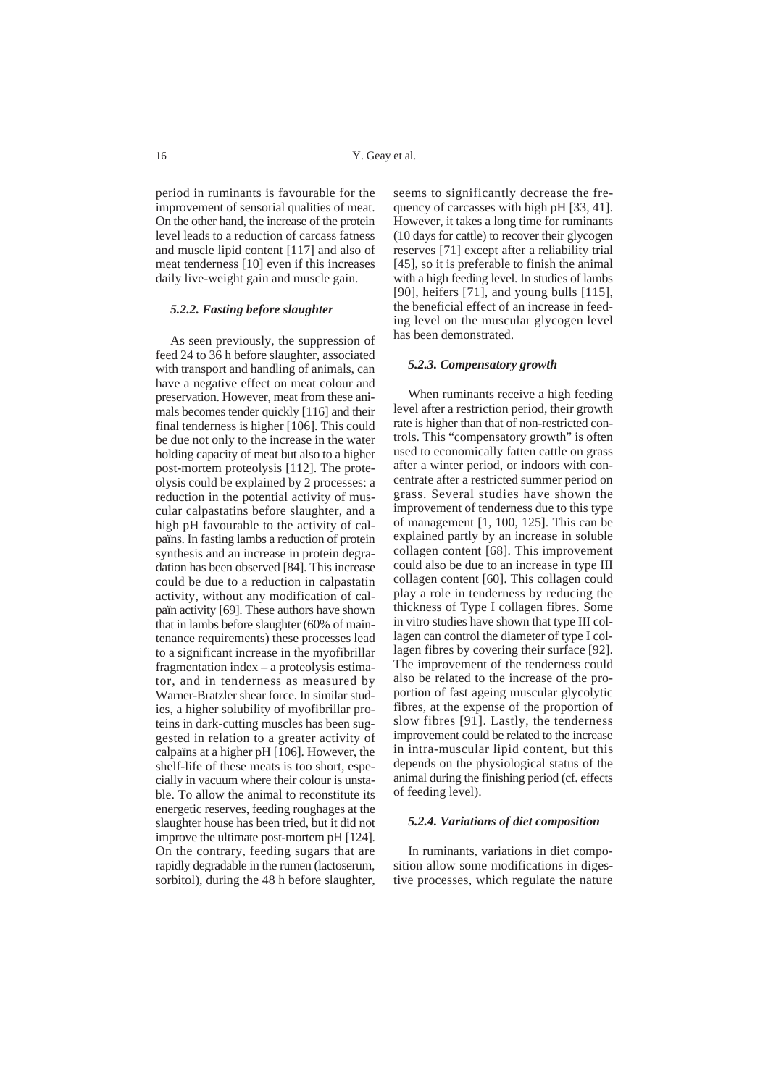period in ruminants is favourable for the improvement of sensorial qualities of meat. On the other hand, the increase of the protein level leads to a reduction of carcass fatness and muscle lipid content [117] and also of meat tenderness [10] even if this increases daily live-weight gain and muscle gain.

#### *5.2.2. Fasting before slaughter*

As seen previously, the suppression of feed 24 to 36 h before slaughter, associated with transport and handling of animals, can have a negative effect on meat colour and preservation. However, meat from these animals becomes tender quickly [116] and their final tenderness is higher [106]. This could be due not only to the increase in the water holding capacity of meat but also to a higher post-mortem proteolysis [112]. The proteolysis could be explained by 2 processes: a reduction in the potential activity of muscular calpastatins before slaughter, and a high pH favourable to the activity of calpaïns. In fasting lambs a reduction of protein synthesis and an increase in protein degradation has been observed [84]. This increase could be due to a reduction in calpastatin activity, without any modification of calpaïn activity [69]. These authors have shown that in lambs before slaughter (60% of maintenance requirements) these processes lead to a significant increase in the myofibrillar fragmentation index – a proteolysis estimator, and in tenderness as measured by Warner-Bratzler shear force. In similar studies, a higher solubility of myofibrillar proteins in dark-cutting muscles has been suggested in relation to a greater activity of calpaïns at a higher pH [106]. However, the shelf-life of these meats is too short, especially in vacuum where their colour is unstable. To allow the animal to reconstitute its energetic reserves, feeding roughages at the slaughter house has been tried, but it did not improve the ultimate post-mortem pH [124]. On the contrary, feeding sugars that are rapidly degradable in the rumen (lactoserum, sorbitol), during the 48 h before slaughter,

seems to significantly decrease the frequency of carcasses with high pH [33, 41]. However, it takes a long time for ruminants (10 days for cattle) to recover their glycogen reserves [71] except after a reliability trial [45], so it is preferable to finish the animal with a high feeding level. In studies of lambs [90], heifers [71], and young bulls [115], the beneficial effect of an increase in feeding level on the muscular glycogen level has been demonstrated.

#### *5.2.3. Compensatory growth*

When ruminants receive a high feeding level after a restriction period, their growth rate is higher than that of non-restricted controls. This "compensatory growth" is often used to economically fatten cattle on grass after a winter period, or indoors with concentrate after a restricted summer period on grass. Several studies have shown the improvement of tenderness due to this type of management [1, 100, 125]. This can be explained partly by an increase in soluble collagen content [68]. This improvement could also be due to an increase in type III collagen content [60]. This collagen could play a role in tenderness by reducing the thickness of Type I collagen fibres. Some in vitro studies have shown that type III collagen can control the diameter of type I collagen fibres by covering their surface [92]. The improvement of the tenderness could also be related to the increase of the proportion of fast ageing muscular glycolytic fibres, at the expense of the proportion of slow fibres [91]. Lastly, the tenderness improvement could be related to the increase in intra-muscular lipid content, but this depends on the physiological status of the animal during the finishing period (cf. effects of feeding level).

#### *5.2.4. Variations of diet composition*

In ruminants, variations in diet composition allow some modifications in digestive processes, which regulate the nature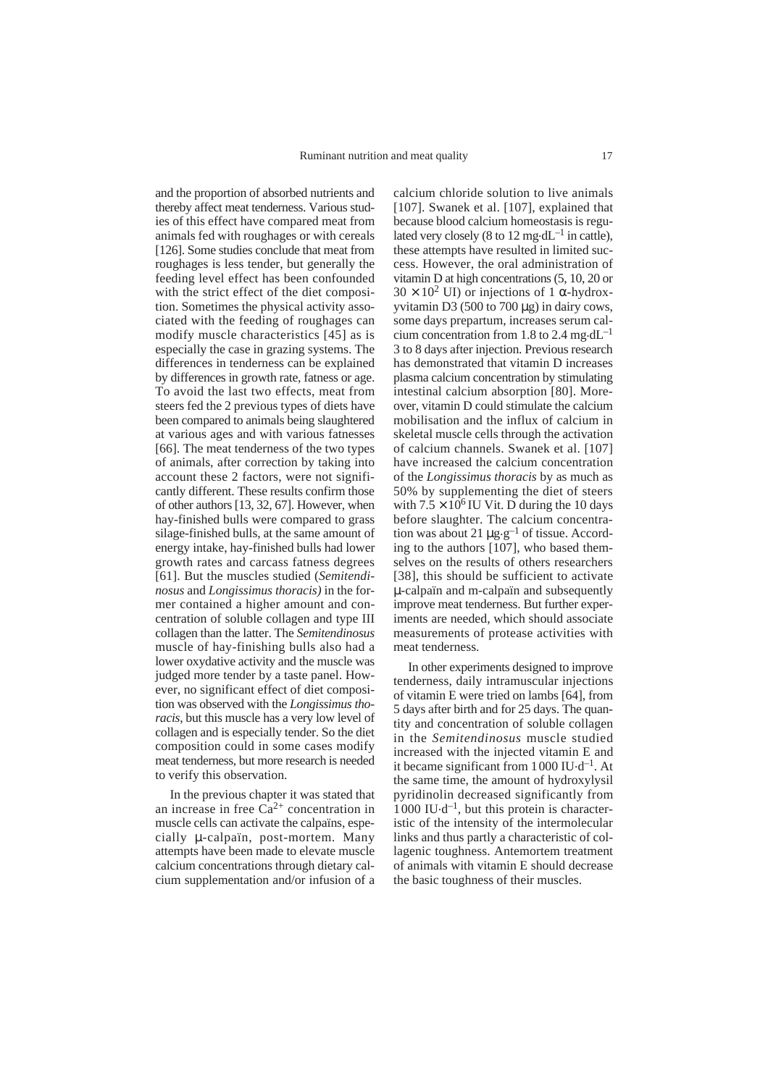and the proportion of absorbed nutrients and thereby affect meat tenderness. Various studies of this effect have compared meat from animals fed with roughages or with cereals [126]. Some studies conclude that meat from roughages is less tender, but generally the feeding level effect has been confounded with the strict effect of the diet composition. Sometimes the physical activity associated with the feeding of roughages can modify muscle characteristics [45] as is especially the case in grazing systems. The differences in tenderness can be explained by differences in growth rate, fatness or age. To avoid the last two effects, meat from steers fed the 2 previous types of diets have been compared to animals being slaughtered at various ages and with various fatnesses [66]. The meat tenderness of the two types of animals, after correction by taking into account these 2 factors, were not significantly different. These results confirm those of other authors [13, 32, 67]. However, when hay-finished bulls were compared to grass silage-finished bulls, at the same amount of energy intake, hay-finished bulls had lower growth rates and carcass fatness degrees [61]. But the muscles studied (*Semitendinosus* and *Longissimus thoracis)* in the former contained a higher amount and concentration of soluble collagen and type III collagen than the latter. The *Semitendinosus* muscle of hay-finishing bulls also had a lower oxydative activity and the muscle was judged more tender by a taste panel. However, no significant effect of diet composition was observed with the *Longissimus thoracis*, but this muscle has a very low level of collagen and is especially tender. So the diet composition could in some cases modify meat tenderness, but more research is needed to verify this observation.

In the previous chapter it was stated that an increase in free  $Ca^{2+}$  concentration in muscle cells can activate the calpaïns, especially µ-calpaïn, post-mortem*.* Many attempts have been made to elevate muscle calcium concentrations through dietary calcium supplementation and/or infusion of a calcium chloride solution to live animals [107]. Swanek et al. [107], explained that because blood calcium homeostasis is regulated very closely (8 to 12 mg·dL<sup> $-1$ </sup> in cattle). these attempts have resulted in limited success. However, the oral administration of vitamin D at high concentrations (5, 10, 20 or  $30 \times 10^2$  UI) or injections of 1  $\alpha$ -hydroxyvitamin D3 (500 to 700  $\mu$ g) in dairy cows, some days prepartum, increases serum calcium concentration from 1.8 to 2.4 mg·d $L^{-1}$ 3 to 8 days after injection. Previous research has demonstrated that vitamin D increases plasma calcium concentration by stimulating intestinal calcium absorption [80]. Moreover, vitamin D could stimulate the calcium mobilisation and the influx of calcium in skeletal muscle cells through the activation of calcium channels. Swanek et al. [107] have increased the calcium concentration of the *Longissimus thoracis* by as much as 50% by supplementing the diet of steers with  $7.5 \times 10^6$  IU Vit. D during the 10 days before slaughter. The calcium concentration was about 21  $\mu$ g-g<sup>-1</sup> of tissue. According to the authors [107], who based themselves on the results of others researchers [38], this should be sufficient to activate µ-calpaïn and m-calpaïn and subsequently improve meat tenderness. But further experiments are needed, which should associate measurements of protease activities with meat tenderness.

In other experiments designed to improve tenderness, daily intramuscular injections of vitamin E were tried on lambs [64], from 5 days after birth and for 25 days. The quantity and concentration of soluble collagen in the *Semitendinosus* muscle studied increased with the injected vitamin E and it became significant from 1000 IU.d–1. At the same time, the amount of hydroxylysil pyridinolin decreased significantly from  $1000 \text{ IU-d}^{-1}$ , but this protein is characteristic of the intensity of the intermolecular links and thus partly a characteristic of collagenic toughness. Antemortem treatment of animals with vitamin E should decrease the basic toughness of their muscles.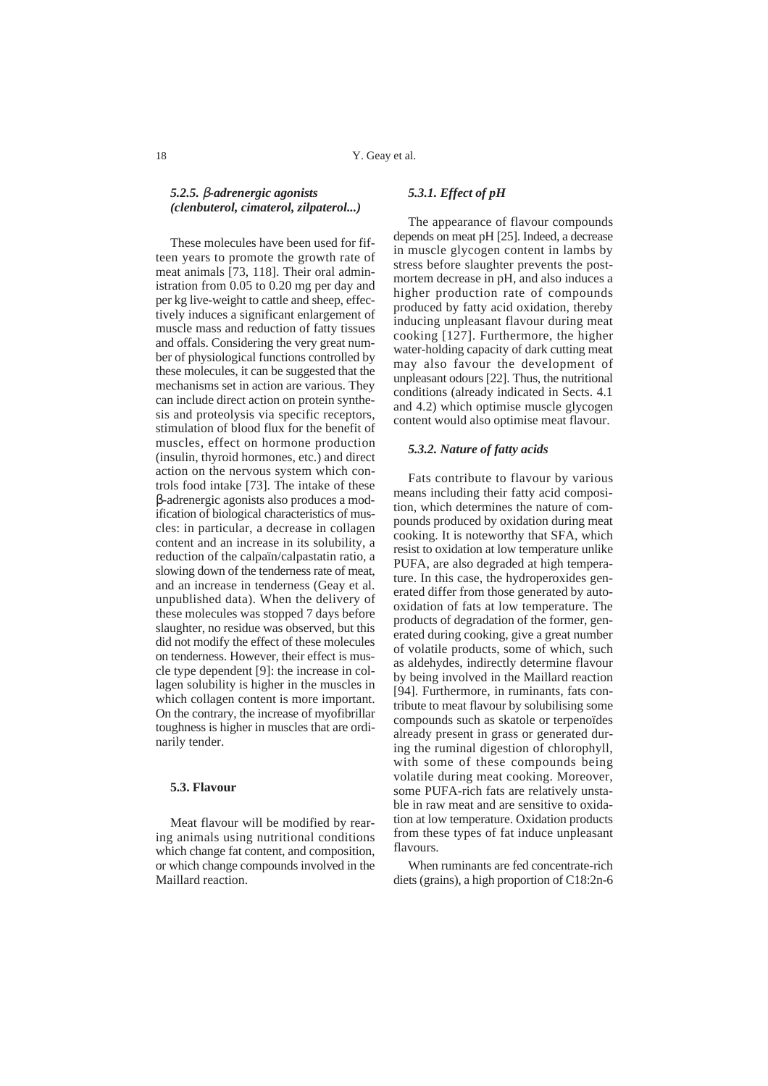## *5.2.5.* β*-adrenergic agonists (clenbuterol, cimaterol, zilpaterol...)*

These molecules have been used for fifteen years to promote the growth rate of meat animals [73, 118]. Their oral administration from 0.05 to 0.20 mg per day and per kg live-weight to cattle and sheep, effectively induces a significant enlargement of muscle mass and reduction of fatty tissues and offals. Considering the very great number of physiological functions controlled by these molecules, it can be suggested that the mechanisms set in action are various. They can include direct action on protein synthesis and proteolysis via specific receptors, stimulation of blood flux for the benefit of muscles, effect on hormone production (insulin, thyroid hormones, etc.) and direct action on the nervous system which controls food intake [73]. The intake of these β-adrenergic agonists also produces a modification of biological characteristics of muscles: in particular, a decrease in collagen content and an increase in its solubility, a reduction of the calpaïn/calpastatin ratio, a slowing down of the tenderness rate of meat, and an increase in tenderness (Geay et al. unpublished data). When the delivery of these molecules was stopped 7 days before slaughter, no residue was observed, but this did not modify the effect of these molecules on tenderness. However, their effect is muscle type dependent [9]: the increase in collagen solubility is higher in the muscles in which collagen content is more important. On the contrary, the increase of myofibrillar toughness is higher in muscles that are ordinarily tender.

## **5.3. Flavour**

Meat flavour will be modified by rearing animals using nutritional conditions which change fat content, and composition, or which change compounds involved in the Maillard reaction.

## *5.3.1. Effect of pH*

The appearance of flavour compounds depends on meat pH [25]. Indeed, a decrease in muscle glycogen content in lambs by stress before slaughter prevents the postmortem decrease in pH, and also induces a higher production rate of compounds produced by fatty acid oxidation, thereby inducing unpleasant flavour during meat cooking [127]. Furthermore, the higher water-holding capacity of dark cutting meat may also favour the development of unpleasant odours [22]. Thus, the nutritional conditions (already indicated in Sects. 4.1 and 4.2) which optimise muscle glycogen content would also optimise meat flavour.

#### *5.3.2. Nature of fatty acids*

Fats contribute to flavour by various means including their fatty acid composition, which determines the nature of compounds produced by oxidation during meat cooking. It is noteworthy that SFA, which resist to oxidation at low temperature unlike PUFA, are also degraded at high temperature. In this case, the hydroperoxides generated differ from those generated by autooxidation of fats at low temperature. The products of degradation of the former, generated during cooking, give a great number of volatile products, some of which, such as aldehydes, indirectly determine flavour by being involved in the Maillard reaction [94]. Furthermore, in ruminants, fats contribute to meat flavour by solubilising some compounds such as skatole or terpenoïdes already present in grass or generated during the ruminal digestion of chlorophyll, with some of these compounds being volatile during meat cooking. Moreover, some PUFA-rich fats are relatively unstable in raw meat and are sensitive to oxidation at low temperature. Oxidation products from these types of fat induce unpleasant flavours.

When ruminants are fed concentrate-rich diets (grains), a high proportion of C18:2n-6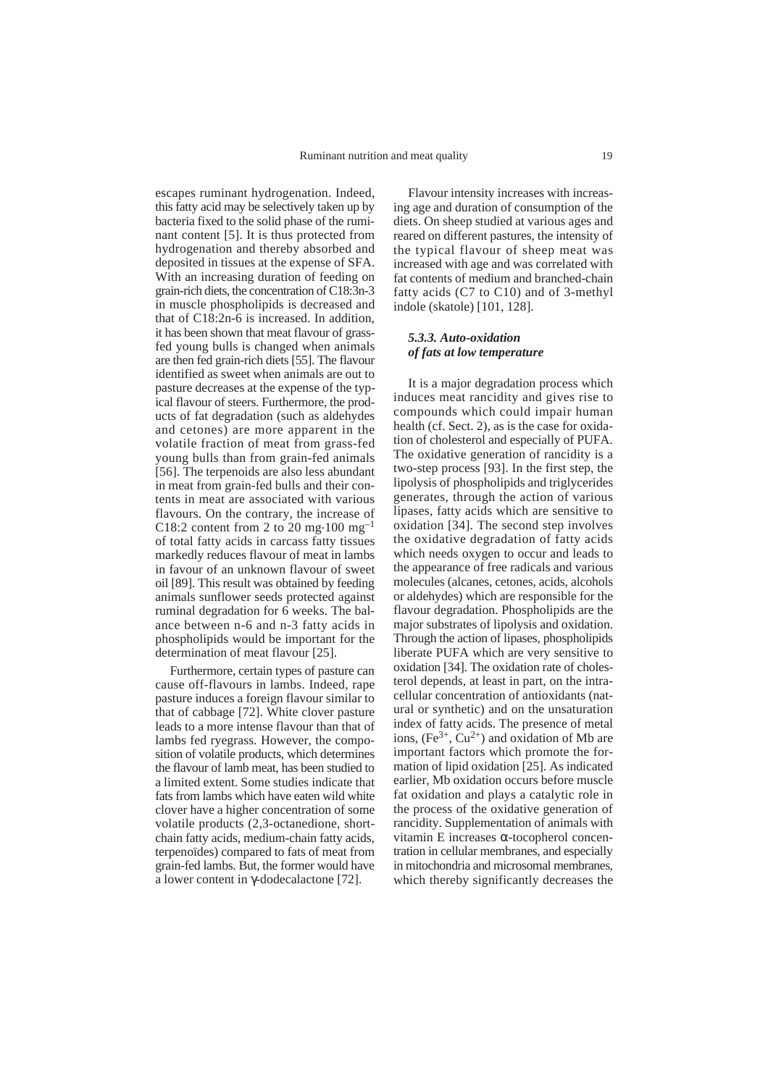escapes ruminant hydrogenation. Indeed, this fatty acid may be selectively taken up by bacteria fixed to the solid phase of the ruminant content [5]. It is thus protected from hydrogenation and thereby absorbed and deposited in tissues at the expense of SFA. With an increasing duration of feeding on grain-rich diets, the concentration of C18:3n-3 in muscle phospholipids is decreased and that of C18:2n-6 is increased. In addition, it has been shown that meat flavour of grassfed young bulls is changed when animals are then fed grain-rich diets [55]. The flavour identified as sweet when animals are out to pasture decreases at the expense of the typical flavour of steers. Furthermore, the products of fat degradation (such as aldehydes and cetones) are more apparent in the volatile fraction of meat from grass-fed young bulls than from grain-fed animals [56]. The terpenoids are also less abundant in meat from grain-fed bulls and their contents in meat are associated with various flavours. On the contrary, the increase of C18:2 content from 2 to 20 mg $\cdot$ 100 mg<sup>-1</sup> of total fatty acids in carcass fatty tissues markedly reduces flavour of meat in lambs in favour of an unknown flavour of sweet oil [89]. This result was obtained by feeding animals sunflower seeds protected against ruminal degradation for 6 weeks. The balance between n-6 and n-3 fatty acids in phospholipids would be important for the determination of meat flavour [25].

Furthermore, certain types of pasture can cause off-flavours in lambs. Indeed, rape pasture induces a foreign flavour similar to that of cabbage [72]. White clover pasture leads to a more intense flavour than that of lambs fed ryegrass. However, the composition of volatile products, which determines the flavour of lamb meat, has been studied to a limited extent. Some studies indicate that fats from lambs which have eaten wild white clover have a higher concentration of some volatile products (2,3-octanedione, shortchain fatty acids, medium-chain fatty acids, terpenoïdes) compared to fats of meat from grain-fed lambs. But, the former would have a lower content in γ-dodecalactone [72].

Flavour intensity increases with increasing age and duration of consumption of the diets. On sheep studied at various ages and reared on different pastures, the intensity of the typical flavour of sheep meat was increased with age and was correlated with fat contents of medium and branched-chain fatty acids (C7 to C10) and of 3-methyl indole (skatole) [101, 128].

#### *5.3.3. Auto-oxidation of fats at low temperature*

It is a major degradation process which induces meat rancidity and gives rise to compounds which could impair human health (cf. Sect. 2), as is the case for oxidation of cholesterol and especially of PUFA. The oxidative generation of rancidity is a two-step process [93]. In the first step, the lipolysis of phospholipids and triglycerides generates, through the action of various lipases, fatty acids which are sensitive to oxidation [34]. The second step involves the oxidative degradation of fatty acids which needs oxygen to occur and leads to the appearance of free radicals and various molecules (alcanes, cetones, acids, alcohols or aldehydes) which are responsible for the flavour degradation. Phospholipids are the major substrates of lipolysis and oxidation. Through the action of lipases, phospholipids liberate PUFA which are very sensitive to oxidation [34]. The oxidation rate of cholesterol depends, at least in part, on the intracellular concentration of antioxidants (natural or synthetic) and on the unsaturation index of fatty acids. The presence of metal ions,  $(Fe^{3+}, Cu^{2+})$  and oxidation of Mb are important factors which promote the formation of lipid oxidation [25]. As indicated earlier, Mb oxidation occurs before muscle fat oxidation and plays a catalytic role in the process of the oxidative generation of rancidity. Supplementation of animals with vitamin E increases α-tocopherol concentration in cellular membranes, and especially in mitochondria and microsomal membranes, which thereby significantly decreases the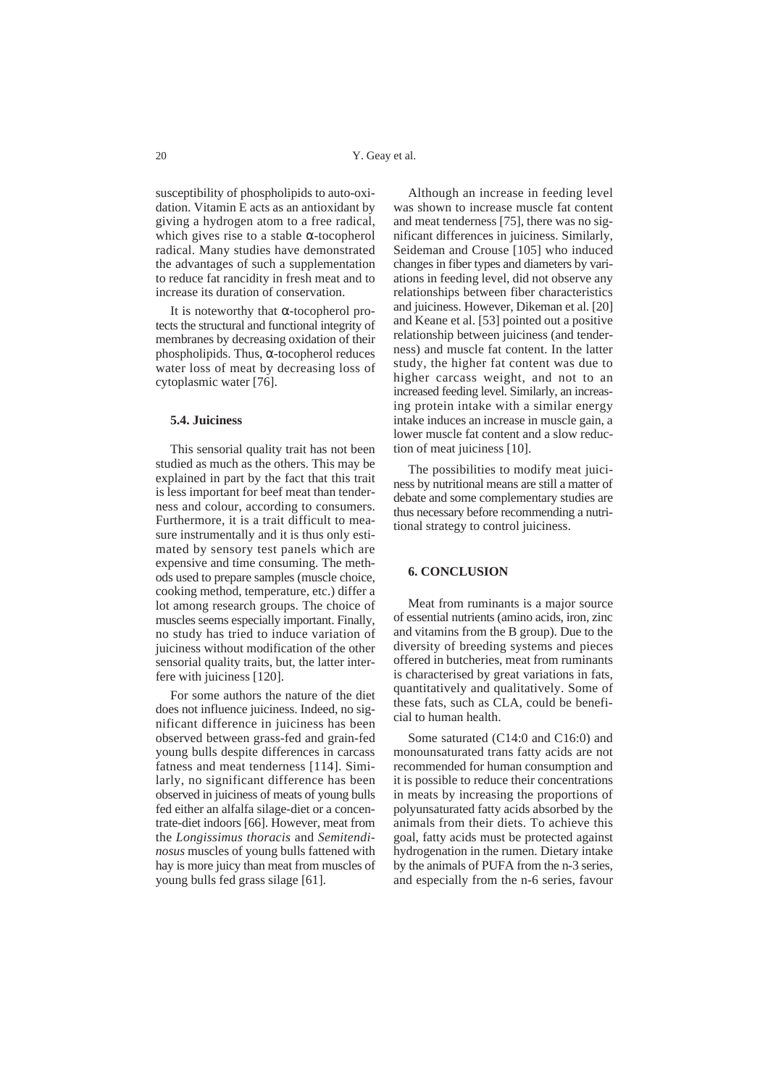susceptibility of phospholipids to auto-oxidation. Vitamin E acts as an antioxidant by giving a hydrogen atom to a free radical, which gives rise to a stable  $\alpha$ -tocopherol radical. Many studies have demonstrated the advantages of such a supplementation to reduce fat rancidity in fresh meat and to increase its duration of conservation.

It is noteworthy that α-tocopherol protects the structural and functional integrity of membranes by decreasing oxidation of their phospholipids. Thus, α-tocopherol reduces water loss of meat by decreasing loss of cytoplasmic water [76].

## **5.4. Juiciness**

This sensorial quality trait has not been studied as much as the others. This may be explained in part by the fact that this trait is less important for beef meat than tenderness and colour, according to consumers. Furthermore, it is a trait difficult to measure instrumentally and it is thus only estimated by sensory test panels which are expensive and time consuming. The methods used to prepare samples (muscle choice, cooking method, temperature, etc.) differ a lot among research groups. The choice of muscles seems especially important. Finally, no study has tried to induce variation of juiciness without modification of the other sensorial quality traits, but, the latter interfere with juiciness [120].

For some authors the nature of the diet does not influence juiciness. Indeed, no significant difference in juiciness has been observed between grass-fed and grain-fed young bulls despite differences in carcass fatness and meat tenderness [114]. Similarly, no significant difference has been observed in juiciness of meats of young bulls fed either an alfalfa silage-diet or a concentrate-diet indoors [66]. However, meat from the *Longissimus thoracis* and *Semitendinosus* muscles of young bulls fattened with hay is more juicy than meat from muscles of young bulls fed grass silage [61].

Although an increase in feeding level was shown to increase muscle fat content and meat tenderness [75], there was no significant differences in juiciness. Similarly, Seideman and Crouse [105] who induced changes in fiber types and diameters by variations in feeding level, did not observe any relationships between fiber characteristics and juiciness. However, Dikeman et al. [20] and Keane et al. [53] pointed out a positive relationship between juiciness (and tenderness) and muscle fat content. In the latter study, the higher fat content was due to higher carcass weight, and not to an increased feeding level. Similarly, an increasing protein intake with a similar energy intake induces an increase in muscle gain, a lower muscle fat content and a slow reduction of meat juiciness [10].

The possibilities to modify meat juiciness by nutritional means are still a matter of debate and some complementary studies are thus necessary before recommending a nutritional strategy to control juiciness.

### **6. CONCLUSION**

Meat from ruminants is a major source of essential nutrients (amino acids, iron, zinc and vitamins from the B group). Due to the diversity of breeding systems and pieces offered in butcheries, meat from ruminants is characterised by great variations in fats, quantitatively and qualitatively. Some of these fats, such as CLA, could be beneficial to human health.

Some saturated (C14:0 and C16:0) and monounsaturated trans fatty acids are not recommended for human consumption and it is possible to reduce their concentrations in meats by increasing the proportions of polyunsaturated fatty acids absorbed by the animals from their diets. To achieve this goal, fatty acids must be protected against hydrogenation in the rumen. Dietary intake by the animals of PUFA from the n-3 series, and especially from the n-6 series, favour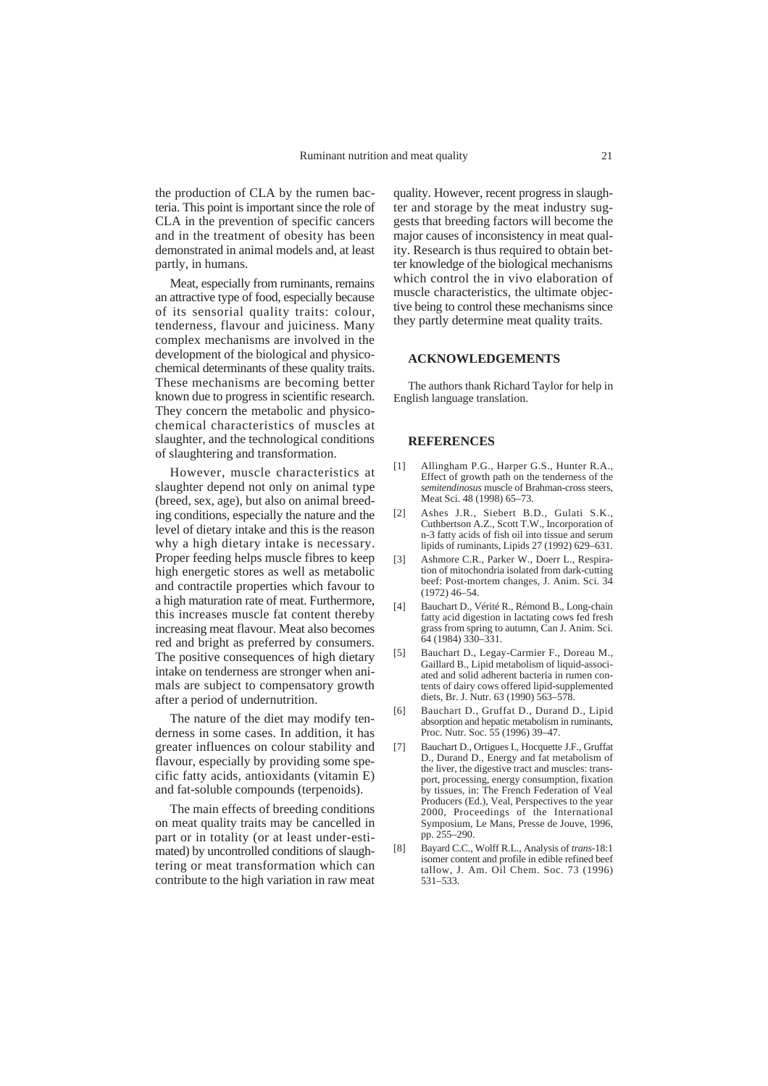the production of CLA by the rumen bacteria. This point is important since the role of CLA in the prevention of specific cancers and in the treatment of obesity has been demonstrated in animal models and, at least partly, in humans.

Meat, especially from ruminants, remains an attractive type of food, especially because of its sensorial quality traits: colour, tenderness, flavour and juiciness. Many complex mechanisms are involved in the development of the biological and physicochemical determinants of these quality traits. These mechanisms are becoming better known due to progress in scientific research. They concern the metabolic and physicochemical characteristics of muscles at slaughter, and the technological conditions of slaughtering and transformation.

However, muscle characteristics at slaughter depend not only on animal type (breed, sex, age), but also on animal breeding conditions, especially the nature and the level of dietary intake and this is the reason why a high dietary intake is necessary. Proper feeding helps muscle fibres to keep high energetic stores as well as metabolic and contractile properties which favour to a high maturation rate of meat. Furthermore, this increases muscle fat content thereby increasing meat flavour. Meat also becomes red and bright as preferred by consumers. The positive consequences of high dietary intake on tenderness are stronger when animals are subject to compensatory growth after a period of undernutrition.

The nature of the diet may modify tenderness in some cases. In addition, it has greater influences on colour stability and flavour, especially by providing some specific fatty acids, antioxidants (vitamin E) and fat-soluble compounds (terpenoids).

The main effects of breeding conditions on meat quality traits may be cancelled in part or in totality (or at least under-estimated) by uncontrolled conditions of slaughtering or meat transformation which can contribute to the high variation in raw meat

quality. However, recent progress in slaughter and storage by the meat industry suggests that breeding factors will become the major causes of inconsistency in meat quality. Research is thus required to obtain better knowledge of the biological mechanisms which control the in vivo elaboration of muscle characteristics, the ultimate objective being to control these mechanisms since they partly determine meat quality traits.

#### **ACKNOWLEDGEMENTS**

The authors thank Richard Taylor for help in English language translation.

#### **REFERENCES**

- [1] Allingham P.G., Harper G.S., Hunter R.A., Effect of growth path on the tenderness of the *semitendinosus* muscle of Brahman-cross steers, Meat Sci. 48 (1998) 65–73.
- [2] Ashes J.R., Siebert B.D., Gulati S.K., Cuthbertson A.Z., Scott T.W., Incorporation of n-3 fatty acids of fish oil into tissue and serum lipids of ruminants, Lipids 27 (1992) 629–631.
- [3] Ashmore C.R., Parker W., Doerr L., Respiration of mitochondria isolated from dark-cutting beef: Post-mortem changes, J. Anim. Sci. 34 (1972) 46–54.
- [4] Bauchart D., Vérité R., Rémond B., Long-chain fatty acid digestion in lactating cows fed fresh grass from spring to autumn, Can J. Anim. Sci. 64 (1984) 330–331.
- [5] Bauchart D., Legay-Carmier F., Doreau M., Gaillard B., Lipid metabolism of liquid-associated and solid adherent bacteria in rumen contents of dairy cows offered lipid-supplemented diets, Br. J. Nutr. 63 (1990) 563–578.
- [6] Bauchart D., Gruffat D., Durand D., Lipid absorption and hepatic metabolism in ruminants, Proc. Nutr. Soc. 55 (1996) 39–47.
- [7] Bauchart D., Ortigues I., Hocquette J.F., Gruffat D., Durand D., Energy and fat metabolism of the liver, the digestive tract and muscles: transport, processing, energy consumption, fixation by tissues, in: The French Federation of Veal Producers (Ed.), Veal, Perspectives to the year 2000, Proceedings of the International Symposium, Le Mans, Presse de Jouve, 1996, pp. 255–290.
- [8] Bayard C.C., Wolff R.L., Analysis of *trans*-18:1 isomer content and profile in edible refined beef tallow, J. Am. Oil Chem. Soc. 73 (1996) 531–533.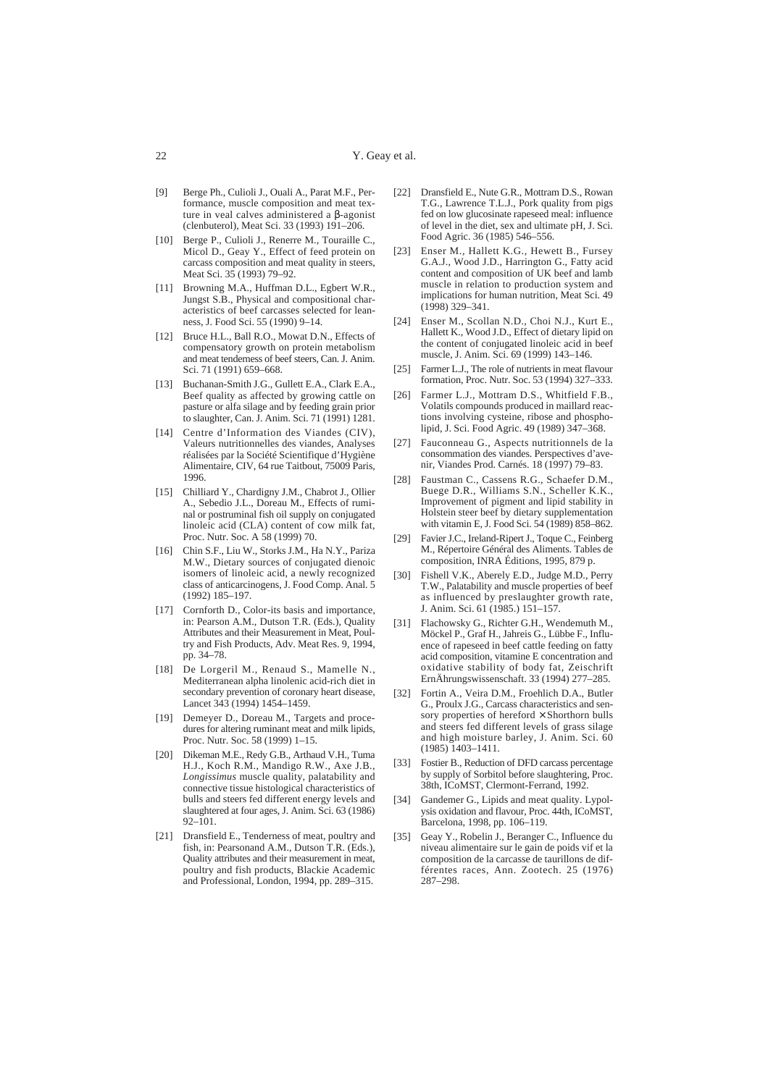- [9] Berge Ph., Culioli J., Ouali A., Parat M.F., Performance, muscle composition and meat texture in veal calves administered a β-agonist (clenbuterol), Meat Sci. 33 (1993) 191–206.
- [10] Berge P., Culioli J., Renerre M., Touraille C., Micol D., Geay Y., Effect of feed protein on carcass composition and meat quality in steers, Meat Sci. 35 (1993) 79-92.
- [11] Browning M.A., Huffman D.L., Egbert W.R., Jungst S.B., Physical and compositional characteristics of beef carcasses selected for leanness, J. Food Sci. 55 (1990) 9–14.
- [12] Bruce H.L., Ball R.O., Mowat D.N., Effects of compensatory growth on protein metabolism and meat tenderness of beef steers, Can. J. Anim. Sci. 71 (1991) 659–668.
- [13] Buchanan-Smith J.G., Gullett E.A., Clark E.A., Beef quality as affected by growing cattle on pasture or alfa silage and by feeding grain prior to slaughter, Can. J. Anim. Sci. 71 (1991) 1281.
- [14] Centre d'Information des Viandes (CIV), Valeurs nutritionnelles des viandes, Analyses réalisées par la Société Scientifique d'Hygiène Alimentaire, CIV, 64 rue Taitbout, 75009 Paris, 1996.
- [15] Chilliard Y., Chardigny J.M., Chabrot J., Ollier A., Sebedio J.L., Doreau M., Effects of ruminal or postruminal fish oil supply on conjugated linoleic acid (CLA) content of cow milk fat, Proc. Nutr. Soc. A 58 (1999) 70.
- [16] Chin S.F., Liu W., Storks J.M., Ha N.Y., Pariza M.W., Dietary sources of conjugated dienoic isomers of linoleic acid, a newly recognized class of anticarcinogens, J. Food Comp. Anal. 5 (1992) 185–197.
- [17] Cornforth D., Color-its basis and importance, in: Pearson A.M., Dutson T.R. (Eds.), Quality Attributes and their Measurement in Meat, Poultry and Fish Products, Adv. Meat Res. 9, 1994, pp. 34–78.
- [18] De Lorgeril M., Renaud S., Mamelle N., Mediterranean alpha linolenic acid-rich diet in secondary prevention of coronary heart disease, Lancet 343 (1994) 1454–1459.
- [19] Demeyer D., Doreau M., Targets and procedures for altering ruminant meat and milk lipids, Proc. Nutr. Soc. 58 (1999) 1–15.
- [20] Dikeman M.E., Redy G.B., Arthaud V.H., Tuma H.J., Koch R.M., Mandigo R.W., Axe J.B., *Longissimus* muscle quality, palatability and connective tissue histological characteristics of bulls and steers fed different energy levels and slaughtered at four ages, J. Anim. Sci. 63 (1986)  $92 - 101$ .
- [21] Dransfield E., Tenderness of meat, poultry and fish, in: Pearsonand A.M., Dutson T.R. (Eds.), Quality attributes and their measurement in meat, poultry and fish products, Blackie Academic and Professional, London, 1994, pp. 289–315.
- [22] Dransfield E., Nute G.R., Mottram D.S., Rowan T.G., Lawrence T.L.J., Pork quality from pigs fed on low glucosinate rapeseed meal: influence of level in the diet, sex and ultimate pH, J. Sci. Food Agric. 36 (1985) 546–556.
- [23] Enser M., Hallett K.G., Hewett B., Fursey G.A.J., Wood J.D., Harrington G., Fatty acid content and composition of UK beef and lamb muscle in relation to production system and implications for human nutrition, Meat Sci. 49 (1998) 329–341.
- [24] Enser M., Scollan N.D., Choi N.J., Kurt E., Hallett K., Wood J.D., Effect of dietary lipid on the content of conjugated linoleic acid in beef muscle, J. Anim. Sci. 69 (1999) 143–146.
- [25] Farmer L.J., The role of nutrients in meat flavour formation, Proc. Nutr. Soc. 53 (1994) 327–333.
- [26] Farmer L.J., Mottram D.S., Whitfield F.B., Volatils compounds produced in maillard reactions involving cysteine, ribose and phospholipid, J. Sci. Food Agric. 49 (1989) 347–368.
- [27] Fauconneau G., Aspects nutritionnels de la consommation des viandes. Perspectives d'avenir, Viandes Prod. Carnés. 18 (1997) 79–83.
- [28] Faustman C., Cassens R.G., Schaefer D.M., Buege D.R., Williams S.N., Scheller K.K., Improvement of pigment and lipid stability in Holstein steer beef by dietary supplementation with vitamin E, J. Food Sci. 54 (1989) 858–862.
- [29] Favier J.C., Ireland-Ripert J., Toque C., Feinberg M., Répertoire Général des Aliments. Tables de composition, INRA Éditions, 1995, 879 p.
- [30] Fishell V.K., Aberely E.D., Judge M.D., Perry T.W., Palatability and muscle properties of beef as influenced by preslaughter growth rate, J. Anim. Sci. 61 (1985.) 151–157.
- [31] Flachowsky G., Richter G.H., Wendemuth M., Möckel P., Graf H., Jahreis G., Lübbe F., Influence of rapeseed in beef cattle feeding on fatty acid composition, vitamine E concentration and oxidative stability of body fat, Zeischrift ErnÄhrungswissenschaft. 33 (1994) 277–285.
- [32] Fortin A., Veira D.M., Froehlich D.A., Butler G., Proulx J.G., Carcass characteristics and sensory properties of hereford  $\times$  Shorthorn bulls and steers fed different levels of grass silage and high moisture barley, J. Anim. Sci. 60 (1985) 1403–1411.
- [33] Fostier B., Reduction of DFD carcass percentage by supply of Sorbitol before slaughtering, Proc. 38th, ICoMST, Clermont-Ferrand, 1992.
- [34] Gandemer G., Lipids and meat quality. Lypolysis oxidation and flavour, Proc. 44th, ICoMST, Barcelona, 1998, pp. 106–119.
- [35] Geay Y., Robelin J., Beranger C., Influence du niveau alimentaire sur le gain de poids vif et la composition de la carcasse de taurillons de différentes races, Ann. Zootech. 25 (1976) 287–298.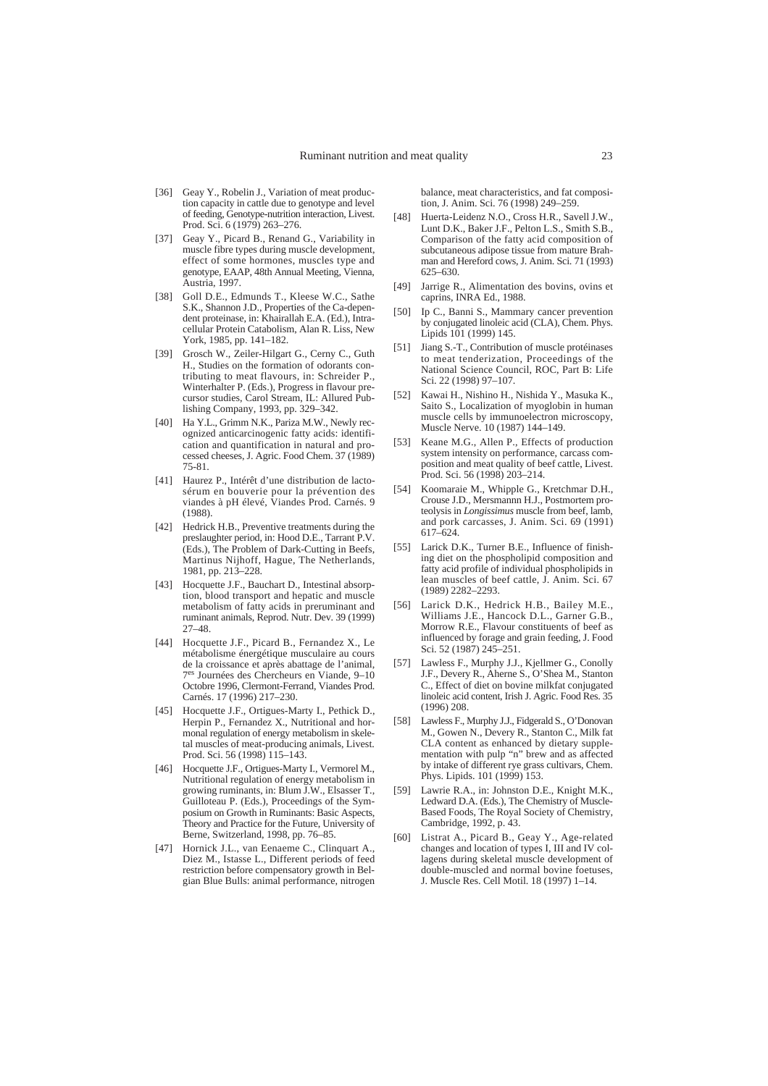- [36] Geay Y., Robelin J., Variation of meat production capacity in cattle due to genotype and level of feeding, Genotype-nutrition interaction, Livest. Prod. Sci. 6 (1979) 263–276.
- [37] Geay Y., Picard B., Renand G., Variability in muscle fibre types during muscle development, effect of some hormones, muscles type and genotype, EAAP, 48th Annual Meeting, Vienna, Austria, 1997.
- [38] Goll D.E., Edmunds T., Kleese W.C., Sathe S.K., Shannon J.D., Properties of the Ca-dependent proteinase, in: Khairallah E.A. (Ed.), Intracellular Protein Catabolism, Alan R. Liss, New York, 1985, pp. 141–182.
- [39] Grosch W., Zeiler-Hilgart G., Cerny C., Guth H., Studies on the formation of odorants contributing to meat flavours, in: Schreider P., Winterhalter P. (Eds.), Progress in flavour precursor studies, Carol Stream, IL: Allured Publishing Company, 1993, pp. 329–342.
- [40] Ha Y.L., Grimm N.K., Pariza M.W., Newly recognized anticarcinogenic fatty acids: identification and quantification in natural and processed cheeses, J. Agric. Food Chem. 37 (1989) 75-81.
- [41] Haurez P., Intérêt d'une distribution de lactosérum en bouverie pour la prévention des viandes à pH élevé, Viandes Prod. Carnés. 9 (1988).
- [42] Hedrick H.B., Preventive treatments during the preslaughter period, in: Hood D.E., Tarrant P.V. (Eds.), The Problem of Dark-Cutting in Beefs, Martinus Nijhoff, Hague, The Netherlands, 1981, pp. 213–228.
- [43] Hocquette J.F., Bauchart D., Intestinal absorption, blood transport and hepatic and muscle metabolism of fatty acids in preruminant and ruminant animals, Reprod. Nutr. Dev. 39 (1999) 27–48.
- [44] Hocquette J.F., Picard B., Fernandez X., Le métabolisme énergétique musculaire au cours de la croissance et après abattage de l'animal, 7es Journées des Chercheurs en Viande, 9–10 Octobre 1996, Clermont-Ferrand, Viandes Prod. Carnés. 17 (1996) 217–230.
- [45] Hocquette J.F., Ortigues-Marty I., Pethick D., Herpin P., Fernandez X., Nutritional and hormonal regulation of energy metabolism in skeletal muscles of meat-producing animals, Livest. Prod. Sci. 56 (1998) 115–143.
- [46] Hocquette J.F., Ortigues-Marty I., Vermorel M., Nutritional regulation of energy metabolism in growing ruminants, in: Blum J.W., Elsasser T., Guilloteau P. (Eds.), Proceedings of the Symposium on Growth in Ruminants: Basic Aspects, Theory and Practice for the Future, University of Berne, Switzerland, 1998, pp. 76–85.
- [47] Hornick J.L., van Eenaeme C., Clinquart A., Diez M., Istasse L., Different periods of feed restriction before compensatory growth in Belgian Blue Bulls: animal performance, nitrogen

balance, meat characteristics, and fat composition, J. Anim. Sci. 76 (1998) 249–259.

- [48] Huerta-Leidenz N.O., Cross H.R., Savell J.W., Lunt D.K., Baker J.F., Pelton L.S., Smith S.B., Comparison of the fatty acid composition of subcutaneous adipose tissue from mature Brahman and Hereford cows, J. Anim. Sci. 71 (1993) 625–630.
- [49] Jarrige R., Alimentation des bovins, ovins et caprins, INRA Ed., 1988.
- [50] Ip C., Banni S., Mammary cancer prevention by conjugated linoleic acid (CLA), Chem. Phys. Lipids 101 (1999) 145.
- [51] Jiang S.-T., Contribution of muscle protéinases to meat tenderization, Proceedings of the National Science Council, ROC, Part B: Life Sci. 22 (1998) 97–107.
- [52] Kawai H., Nishino H., Nishida Y., Masuka K., Saito S., Localization of myoglobin in human muscle cells by immunoelectron microscopy, Muscle Nerve. 10 (1987) 144–149.
- [53] Keane M.G., Allen P., Effects of production system intensity on performance, carcass composition and meat quality of beef cattle, Livest. Prod. Sci. 56 (1998) 203–214.
- [54] Koomaraie M., Whipple G., Kretchmar D.H., Crouse J.D., Mersmannn H.J., Postmortem proteolysis in *Longissimus* muscle from beef, lamb, and pork carcasses, J. Anim. Sci. 69 (1991) 617–624.
- [55] Larick D.K., Turner B.E., Influence of finishing diet on the phospholipid composition and fatty acid profile of individual phospholipids in lean muscles of beef cattle, J. Anim. Sci. 67 (1989) 2282–2293.
- [56] Larick D.K., Hedrick H.B., Bailey M.E., Williams J.E., Hancock D.L., Garner G.B., Morrow R.E., Flavour constituents of beef as influenced by forage and grain feeding, J. Food Sci. 52 (1987) 245–251.
- [57] Lawless F., Murphy J.J., Kiellmer G., Conolly J.F., Devery R., Aherne S., O'Shea M., Stanton C., Effect of diet on bovine milkfat conjugated linoleic acid content, Irish J. Agric. Food Res. 35 (1996) 208.
- [58] Lawless F., Murphy J.J., Fidgerald S., O'Donovan M., Gowen N., Devery R., Stanton C., Milk fat CLA content as enhanced by dietary supplementation with pulp "n" brew and as affected by intake of different rye grass cultivars, Chem. Phys. Lipids. 101 (1999) 153.
- [59] Lawrie R.A., in: Johnston D.E., Knight M.K., Ledward D.A. (Eds.), The Chemistry of Muscle-Based Foods, The Royal Society of Chemistry, Cambridge, 1992, p. 43.
- [60] Listrat A., Picard B., Geay Y., Age-related changes and location of types I, III and IV collagens during skeletal muscle development of double-muscled and normal bovine foetuses, J. Muscle Res. Cell Motil. 18 (1997) 1–14.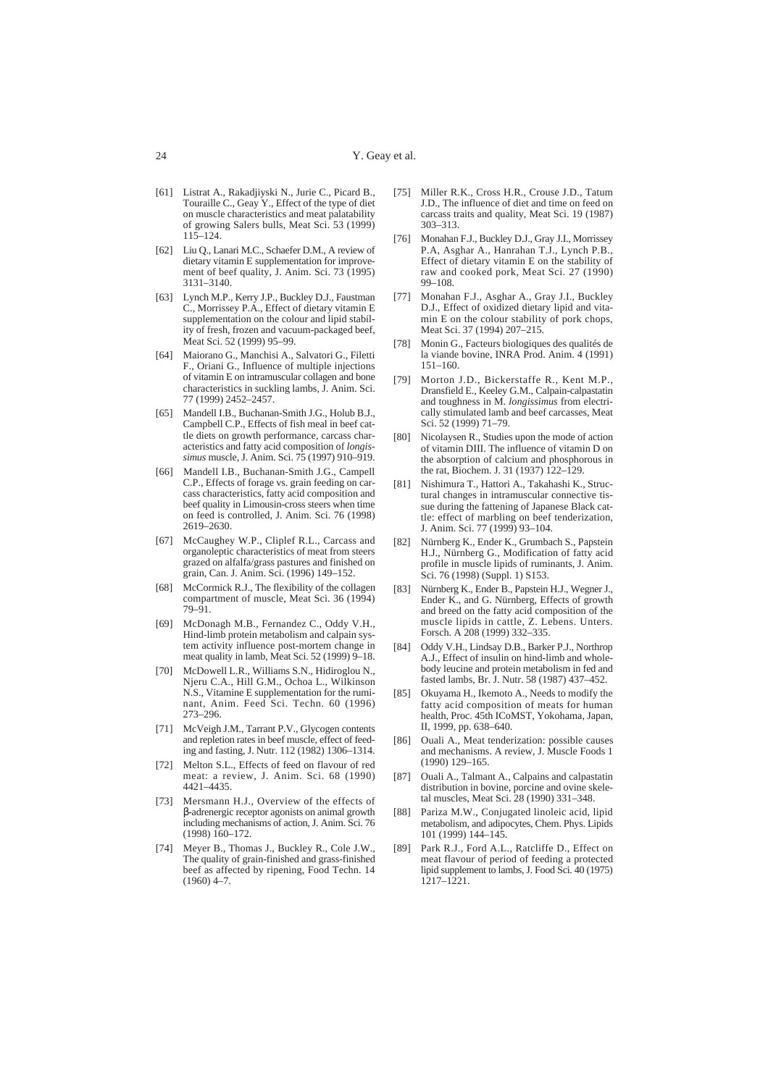- [61] Listrat A., Rakadjiyski N., Jurie C., Picard B., Touraille C., Geay Y., Effect of the type of diet on muscle characteristics and meat palatability of growing Salers bulls, Meat Sci. 53 (1999)  $115 - 124$ .
- [62] Liu Q., Lanari M.C., Schaefer D.M., A review of dietary vitamin E supplementation for improvement of beef quality, J. Anim. Sci. 73 (1995) 3131–3140.
- [63] Lynch M.P., Kerry J.P., Buckley D.J., Faustman C., Morrissey P.A., Effect of dietary vitamin E supplementation on the colour and lipid stability of fresh, frozen and vacuum-packaged beef, Meat Sci. 52 (1999) 95–99.
- [64] Maiorano G., Manchisi A., Salvatori G., Filetti F., Oriani G., Influence of multiple injections of vitamin E on intramuscular collagen and bone characteristics in suckling lambs, J. Anim. Sci. 77 (1999) 2452–2457.
- [65] Mandell I.B., Buchanan-Smith J.G., Holub B.J., Campbell C.P., Effects of fish meal in beef cattle diets on growth performance, carcass characteristics and fatty acid composition of *longissimus* muscle, J. Anim. Sci. 75 (1997) 910–919.
- [66] Mandell I.B., Buchanan-Smith J.G., Campell C.P., Effects of forage vs. grain feeding on carcass characteristics, fatty acid composition and beef quality in Limousin-cross steers when time on feed is controlled, J. Anim. Sci. 76 (1998) 2619–2630.
- [67] McCaughey W.P., Cliplef R.L., Carcass and organoleptic characteristics of meat from steers grazed on alfalfa/grass pastures and finished on grain, Can. J. Anim. Sci. (1996) 149–152.
- [68] McCormick R.J., The flexibility of the collagen compartment of muscle, Meat Sci. 36 (1994) 79–91.
- [69] McDonagh M.B., Fernandez C., Oddy V.H., Hind-limb protein metabolism and calpain system activity influence post-mortem change in meat quality in lamb, Meat Sci. 52 (1999) 9–18.
- [70] McDowell L.R., Williams S.N., Hidiroglou N., Njeru C.A., Hill G.M., Ochoa L., Wilkinson N.S., Vitamine E supplementation for the ruminant, Anim. Feed Sci. Techn. 60 (1996) 273–296.
- [71] McVeigh J.M., Tarrant P.V., Glycogen contents and repletion rates in beef muscle, effect of feeding and fasting, J. Nutr. 112 (1982) 1306–1314.
- [72] Melton S.L., Effects of feed on flavour of red meat: a review, J. Anim. Sci. 68 (1990) 4421–4435.
- [73] Mersmann H.J., Overview of the effects of β-adrenergic receptor agonists on animal growth including mechanisms of action, J. Anim. Sci. 76 (1998) 160–172.
- [74] Meyer B., Thomas J., Buckley R., Cole J.W., The quality of grain-finished and grass-finished beef as affected by ripening, Food Techn. 14  $(1960)$  4-7.
- [75] Miller R.K., Cross H.R., Crouse J.D., Tatum J.D., The influence of diet and time on feed on carcass traits and quality, Meat Sci. 19 (1987) 303–313.
- [76] Monahan F.J., Buckley D.J., Gray J.I., Morrissey P.A, Asghar A., Hanrahan T.J., Lynch P.B., Effect of dietary vitamin E on the stability of raw and cooked pork, Meat Sci. 27 (1990) 99–108.
- [77] Monahan F.J., Asghar A., Gray J.I., Buckley D.J., Effect of oxidized dietary lipid and vitamin E on the colour stability of pork chops, Meat Sci. 37 (1994) 207–215.
- [78] Monin G., Facteurs biologiques des qualités de la viande bovine, INRA Prod. Anim. 4 (1991) 151–160.
- [79] Morton J.D., Bickerstaffe R., Kent M.P., Dransfield E., Keeley G.M., Calpain-calpastatin and toughness in M. *longissimus* from electrically stimulated lamb and beef carcasses, Meat Sci. 52 (1999) 71–79.
- Nicolaysen R., Studies upon the mode of action of vitamin DIII. The influence of vitamin D on the absorption of calcium and phosphorous in the rat, Biochem. J. 31 (1937) 122–129.
- [81] Nishimura T., Hattori A., Takahashi K., Structural changes in intramuscular connective tissue during the fattening of Japanese Black cattle: effect of marbling on beef tenderization, J. Anim. Sci. 77 (1999) 93–104.
- [82] Nürnberg K., Ender K., Grumbach S., Papstein H.J., Nürnberg G., Modification of fatty acid profile in muscle lipids of ruminants, J. Anim. Sci. 76 (1998) (Suppl. 1) S153.
- Nürnberg K., Ender B., Papstein H.J., Wegner J., Ender K., and G. Nürnberg, Effects of growth and breed on the fatty acid composition of the muscle lipids in cattle, Z. Lebens. Unters. Forsch. A 208 (1999) 332–335.
- [84] Oddy V.H., Lindsay D.B., Barker P.J., Northrop A.J., Effect of insulin on hind-limb and wholebody leucine and protein metabolism in fed and fasted lambs, Br. J. Nutr. 58 (1987) 437–452.
- [85] Okuyama H., Ikemoto A., Needs to modify the fatty acid composition of meats for human health, Proc. 45th ICoMST, Yokohama, Japan, II, 1999, pp. 638–640.
- [86] Ouali A., Meat tenderization: possible causes and mechanisms. A review, J. Muscle Foods 1 (1990) 129–165.
- [87] Ouali A., Talmant A., Calpains and calpastatin distribution in bovine, porcine and ovine skeletal muscles, Meat Sci. 28 (1990) 331–348.
- [88] Pariza M.W., Conjugated linoleic acid, lipid metabolism, and adipocytes, Chem. Phys. Lipids 101 (1999) 144–145.
- [89] Park R.J., Ford A.L., Ratcliffe D., Effect on meat flavour of period of feeding a protected lipid supplement to lambs, J. Food Sci. 40 (1975) 1217–1221.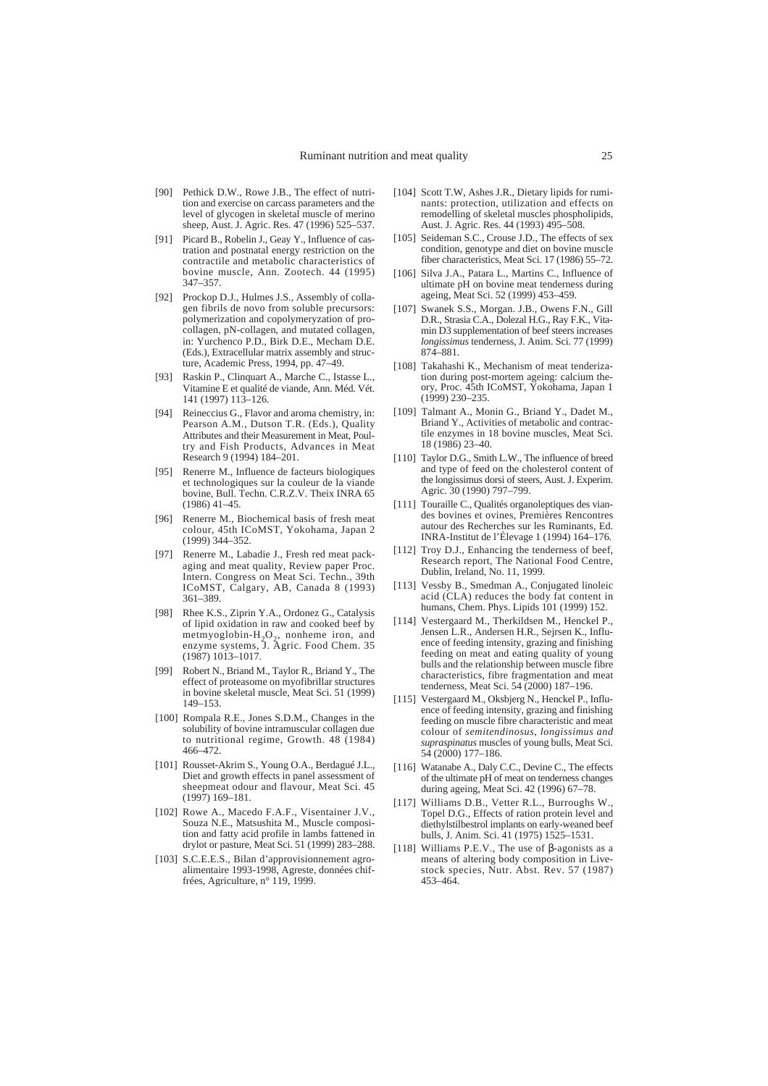- [90] Pethick D.W., Rowe J.B., The effect of nutrition and exercise on carcass parameters and the level of glycogen in skeletal muscle of merino sheep, Aust. J. Agric. Res. 47 (1996) 525–537.
- [91] Picard B., Robelin J., Geay Y., Influence of castration and postnatal energy restriction on the contractile and metabolic characteristics of bovine muscle, Ann. Zootech. 44 (1995) 347–357.
- [92] Prockop D.J., Hulmes J.S., Assembly of collagen fibrils de novo from soluble precursors: polymerization and copolymeryzation of procollagen, pN-collagen, and mutated collagen, in: Yurchenco P.D., Birk D.E., Mecham D.E. (Eds.), Extracellular matrix assembly and structure, Academic Press, 1994, pp. 47–49.
- [93] Raskin P., Clinquart A., Marche C., Istasse L., Vitamine E et qualité de viande, Ann. Méd. Vét. 141 (1997) 113–126.
- [94] Reineccius G., Flavor and aroma chemistry, in: Pearson A.M., Dutson T.R. (Eds.), Quality Attributes and their Measurement in Meat, Poultry and Fish Products, Advances in Meat Research 9 (1994) 184–201.
- [95] Renerre M., Influence de facteurs biologiques et technologiques sur la couleur de la viande bovine, Bull. Techn. C.R.Z.V. Theix INRA 65 (1986) 41–45.
- [96] Renerre M., Biochemical basis of fresh meat colour, 45th ICoMST, Yokohama, Japan 2 (1999) 344–352.
- [97] Renerre M., Labadie J., Fresh red meat packaging and meat quality, Review paper Proc. Intern. Congress on Meat Sci. Techn., 39th ICoMST, Calgary, AB, Canada 8 (1993) 361–389.
- [98] Rhee K.S., Ziprin Y.A., Ordonez G., Catalysis of lipid oxidation in raw and cooked beef by metmyoglobin- $H_2O_2$ , nonheme iron, and enzyme systems, J. Agric. Food Chem. 35 (1987) 1013–1017.
- [99] Robert N., Briand M., Taylor R., Briand Y., The effect of proteasome on myofibrillar structures in bovine skeletal muscle, Meat Sci. 51 (1999) 149–153.
- [100] Rompala R.E., Jones S.D.M., Changes in the solubility of bovine intramuscular collagen due to nutritional regime, Growth. 48 (1984) 466–472.
- [101] Rousset-Akrim S., Young O.A., Berdagué J.L., Diet and growth effects in panel assessment of sheepmeat odour and flavour, Meat Sci. 45 (1997) 169–181.
- [102] Rowe A., Macedo F.A.F., Visentainer J.V., Souza N.E., Matsushita M., Muscle composition and fatty acid profile in lambs fattened in drylot or pasture, Meat Sci. 51 (1999) 283–288.
- [103] S.C.E.E.S., Bilan d'approvisionnement agroalimentaire 1993-1998, Agreste, données chiffrées, Agriculture, n° 119, 1999.
- [104] Scott T.W, Ashes J.R., Dietary lipids for ruminants: protection, utilization and effects on remodelling of skeletal muscles phospholipids, Aust. J. Agric. Res. 44 (1993) 495–508.
- [105] Seideman S.C., Crouse J.D., The effects of sex condition, genotype and diet on bovine muscle fiber characteristics, Meat Sci. 17 (1986) 55–72.
- [106] Silva J.A., Patara L., Martins C., Influence of ultimate pH on bovine meat tenderness during ageing, Meat Sci. 52 (1999) 453–459.
- [107] Swanek S.S., Morgan. J.B., Owens F.N., Gill D.R., Strasia C.A., Dolezal H.G., Ray F.K., Vitamin D3 supplementation of beef steers increases *longissimus* tenderness, J. Anim. Sci. 77 (1999) 874–881.
- [108] Takahashi K., Mechanism of meat tenderization during post-mortem ageing: calcium theory, Proc. 45th ICoMST, Yokohama, Japan 1 (1999) 230–235.
- [109] Talmant A., Monin G., Briand Y., Dadet M., Briand Y., Activities of metabolic and contractile enzymes in 18 bovine muscles, Meat Sci. 18 (1986) 23–40.
- [110] Taylor D.G., Smith L.W., The influence of breed and type of feed on the cholesterol content of the longissimus dorsi of steers, Aust. J. Experim. Agric. 30 (1990) 797–799.
- [111] Touraille C., Qualités organoleptiques des viandes bovines et ovines, Premières Rencontres autour des Recherches sur les Ruminants, Ed. INRA-Institut de l'Élevage 1 (1994) 164–176.
- [112] Troy D.J., Enhancing the tenderness of beef, Research report, The National Food Centre, Dublin, Ireland, No. 11, 1999.
- [113] Vessby B., Smedman A., Conjugated linoleic acid (CLA) reduces the body fat content in humans, Chem. Phys. Lipids 101 (1999) 152.
- [114] Vestergaard M., Therkildsen M., Henckel P., Jensen L.R., Andersen H.R., Sejrsen K., Influence of feeding intensity, grazing and finishing feeding on meat and eating quality of young bulls and the relationship between muscle fibre characteristics, fibre fragmentation and meat tenderness, Meat Sci. 54 (2000) 187–196.
- [115] Vestergaard M., Oksbjerg N., Henckel P., Influence of feeding intensity, grazing and finishing feeding on muscle fibre characteristic and meat colour of *semitendinosus, longissimus and supraspinatus* muscles of young bulls, Meat Sci. 54 (2000) 177–186.
- [116] Watanabe A., Daly C.C., Devine C., The effects of the ultimate pH of meat on tenderness changes during ageing, Meat Sci. 42 (1996) 67–78.
- [117] Williams D.B., Vetter R.L., Burroughs W. Topel D.G., Effects of ration protein level and diethylstilbestrol implants on early-weaned beef bulls, J. Anim. Sci. 41 (1975) 1525–1531.
- [118] Williams P.E.V., The use of  $β$ -agonists as a means of altering body composition in Livestock species, Nutr. Abst. Rev. 57 (1987) 453–464.